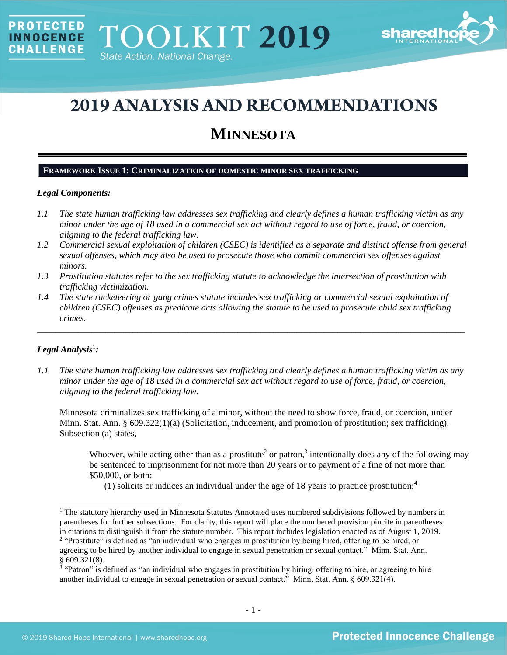

# **2019 ANALYSIS AND RECOMMENDATIONS**

# **MINNESOTA**

# **FRAMEWORK ISSUE 1: CRIMINALIZATION OF DOMESTIC MINOR SEX TRAFFICKING**

# *Legal Components:*

**PROTECTED** 

**INNOCENCE CHALLENGE** 

- *1.1 The state human trafficking law addresses sex trafficking and clearly defines a human trafficking victim as any minor under the age of 18 used in a commercial sex act without regard to use of force, fraud, or coercion, aligning to the federal trafficking law.*
- *1.2 Commercial sexual exploitation of children (CSEC) is identified as a separate and distinct offense from general sexual offenses, which may also be used to prosecute those who commit commercial sex offenses against minors.*
- *1.3 Prostitution statutes refer to the sex trafficking statute to acknowledge the intersection of prostitution with trafficking victimization.*
- *1.4 The state racketeering or gang crimes statute includes sex trafficking or commercial sexual exploitation of children (CSEC) offenses as predicate acts allowing the statute to be used to prosecute child sex trafficking crimes.*

\_\_\_\_\_\_\_\_\_\_\_\_\_\_\_\_\_\_\_\_\_\_\_\_\_\_\_\_\_\_\_\_\_\_\_\_\_\_\_\_\_\_\_\_\_\_\_\_\_\_\_\_\_\_\_\_\_\_\_\_\_\_\_\_\_\_\_\_\_\_\_\_\_\_\_\_\_\_\_\_\_\_\_\_\_\_\_\_\_\_\_\_\_\_

# $Legal$  Analysis<sup>1</sup>:

*1.1 The state human trafficking law addresses sex trafficking and clearly defines a human trafficking victim as any minor under the age of 18 used in a commercial sex act without regard to use of force, fraud, or coercion, aligning to the federal trafficking law.*

Minnesota criminalizes sex trafficking of a minor, without the need to show force, fraud, or coercion, under Minn. Stat. Ann. § 609.322(1)(a) (Solicitation, inducement, and promotion of prostitution; sex trafficking). Subsection (a) states,

Whoever, while acting other than as a prostitute<sup>2</sup> or patron,<sup>3</sup> intentionally does any of the following may be sentenced to imprisonment for not more than 20 years or to payment of a fine of not more than \$50,000, or both:

(1) solicits or induces an individual under the age of 18 years to practice prostitution;<sup>4</sup>

<sup>&</sup>lt;sup>1</sup> The statutory hierarchy used in Minnesota Statutes Annotated uses numbered subdivisions followed by numbers in parentheses for further subsections. For clarity, this report will place the numbered provision pincite in parentheses in citations to distinguish it from the statute number. This report includes legislation enacted as of August 1, 2019.

<sup>&</sup>lt;sup>2</sup> "Prostitute" is defined as "an individual who engages in prostitution by being hired, offering to be hired, or agreeing to be hired by another individual to engage in sexual penetration or sexual contact." Minn. Stat. Ann. § 609.321(8).

<sup>&</sup>lt;sup>3</sup> "Patron" is defined as "an individual who engages in prostitution by hiring, offering to hire, or agreeing to hire another individual to engage in sexual penetration or sexual contact." Minn. Stat. Ann. § 609.321(4).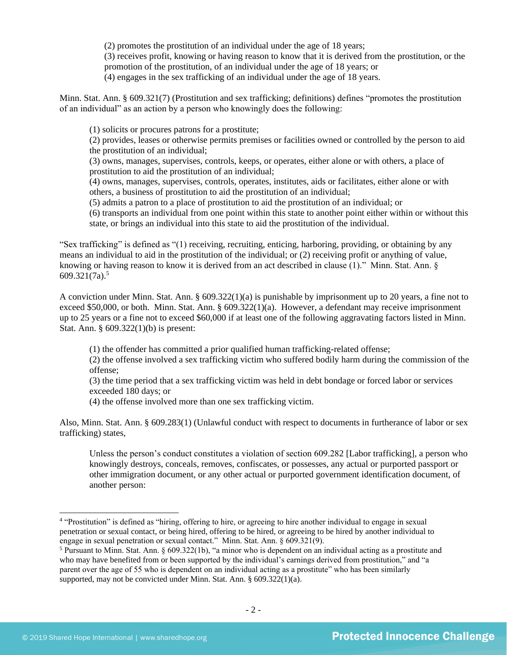(2) promotes the prostitution of an individual under the age of 18 years;

(3) receives profit, knowing or having reason to know that it is derived from the prostitution, or the promotion of the prostitution, of an individual under the age of 18 years; or

(4) engages in the sex trafficking of an individual under the age of 18 years.

Minn. Stat. Ann. § 609.321(7) (Prostitution and sex trafficking; definitions) defines "promotes the prostitution of an individual" as an action by a person who knowingly does the following:

(1) solicits or procures patrons for a prostitute;

(2) provides, leases or otherwise permits premises or facilities owned or controlled by the person to aid the prostitution of an individual;

(3) owns, manages, supervises, controls, keeps, or operates, either alone or with others, a place of prostitution to aid the prostitution of an individual;

(4) owns, manages, supervises, controls, operates, institutes, aids or facilitates, either alone or with others, a business of prostitution to aid the prostitution of an individual;

(5) admits a patron to a place of prostitution to aid the prostitution of an individual; or

(6) transports an individual from one point within this state to another point either within or without this state, or brings an individual into this state to aid the prostitution of the individual.

"Sex trafficking" is defined as "(1) receiving, recruiting, enticing, harboring, providing, or obtaining by any means an individual to aid in the prostitution of the individual; or (2) receiving profit or anything of value, knowing or having reason to know it is derived from an act described in clause (1)." Minn. Stat. Ann. § 609.321 $(7a)$ <sup>5</sup>

A conviction under Minn. Stat. Ann. § 609.322(1)(a) is punishable by imprisonment up to 20 years, a fine not to exceed \$50,000, or both. Minn. Stat. Ann. § 609.322(1)(a). However, a defendant may receive imprisonment up to 25 years or a fine not to exceed \$60,000 if at least one of the following aggravating factors listed in Minn. Stat. Ann. § 609.322(1)(b) is present:

(1) the offender has committed a prior qualified human trafficking-related offense;

(2) the offense involved a sex trafficking victim who suffered bodily harm during the commission of the offense;

(3) the time period that a sex trafficking victim was held in debt bondage or forced labor or services exceeded 180 days; or

(4) the offense involved more than one sex trafficking victim.

Also, Minn. Stat. Ann. § 609.283(1) (Unlawful conduct with respect to documents in furtherance of labor or sex trafficking) states,

Unless the person's conduct constitutes a violation of section 609.282 [Labor trafficking], a person who knowingly destroys, conceals, removes, confiscates, or possesses, any actual or purported passport or other immigration document, or any other actual or purported government identification document, of another person:

<sup>4</sup> "Prostitution" is defined as "hiring, offering to hire, or agreeing to hire another individual to engage in sexual penetration or sexual contact, or being hired, offering to be hired, or agreeing to be hired by another individual to engage in sexual penetration or sexual contact." Minn. Stat. Ann. § 609.321(9).

<sup>5</sup> Pursuant to Minn. Stat. Ann. § 609.322(1b), "a minor who is dependent on an individual acting as a prostitute and who may have benefited from or been supported by the individual's earnings derived from prostitution," and "a parent over the age of 55 who is dependent on an individual acting as a prostitute" who has been similarly supported, may not be convicted under Minn. Stat. Ann. § 609.322(1)(a).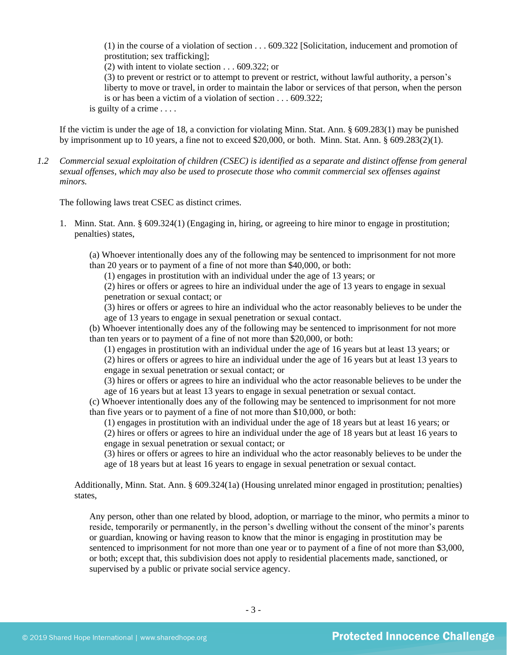(1) in the course of a violation of section . . . 609.322 [Solicitation, inducement and promotion of prostitution; sex trafficking];

(2) with intent to violate section . . . 609.322; or

(3) to prevent or restrict or to attempt to prevent or restrict, without lawful authority, a person's liberty to move or travel, in order to maintain the labor or services of that person, when the person is or has been a victim of a violation of section . . . 609.322;

is guilty of a crime . . . .

If the victim is under the age of 18, a conviction for violating Minn. Stat. Ann. § 609.283(1) may be punished by imprisonment up to 10 years, a fine not to exceed \$20,000, or both. Minn. Stat. Ann. § 609.283(2)(1).

*1.2 Commercial sexual exploitation of children (CSEC) is identified as a separate and distinct offense from general sexual offenses, which may also be used to prosecute those who commit commercial sex offenses against minors.*

The following laws treat CSEC as distinct crimes.

1. Minn. Stat. Ann. § 609.324(1) (Engaging in, hiring, or agreeing to hire minor to engage in prostitution; penalties) states,

(a) Whoever intentionally does any of the following may be sentenced to imprisonment for not more than 20 years or to payment of a fine of not more than \$40,000, or both:

(1) engages in prostitution with an individual under the age of 13 years; or

(2) hires or offers or agrees to hire an individual under the age of 13 years to engage in sexual penetration or sexual contact; or

(3) hires or offers or agrees to hire an individual who the actor reasonably believes to be under the age of 13 years to engage in sexual penetration or sexual contact.

(b) Whoever intentionally does any of the following may be sentenced to imprisonment for not more than ten years or to payment of a fine of not more than \$20,000, or both:

(1) engages in prostitution with an individual under the age of 16 years but at least 13 years; or (2) hires or offers or agrees to hire an individual under the age of 16 years but at least 13 years to engage in sexual penetration or sexual contact; or

(3) hires or offers or agrees to hire an individual who the actor reasonable believes to be under the age of 16 years but at least 13 years to engage in sexual penetration or sexual contact.

(c) Whoever intentionally does any of the following may be sentenced to imprisonment for not more than five years or to payment of a fine of not more than \$10,000, or both:

(1) engages in prostitution with an individual under the age of 18 years but at least 16 years; or (2) hires or offers or agrees to hire an individual under the age of 18 years but at least 16 years to engage in sexual penetration or sexual contact; or

(3) hires or offers or agrees to hire an individual who the actor reasonably believes to be under the age of 18 years but at least 16 years to engage in sexual penetration or sexual contact.

Additionally, Minn. Stat. Ann. § 609.324(1a) (Housing unrelated minor engaged in prostitution; penalties) states,

Any person, other than one related by blood, adoption, or marriage to the minor, who permits a minor to reside, temporarily or permanently, in the person's dwelling without the consent of the minor's parents or guardian, knowing or having reason to know that the minor is engaging in prostitution may be sentenced to imprisonment for not more than one year or to payment of a fine of not more than \$3,000, or both; except that, this subdivision does not apply to residential placements made, sanctioned, or supervised by a public or private social service agency.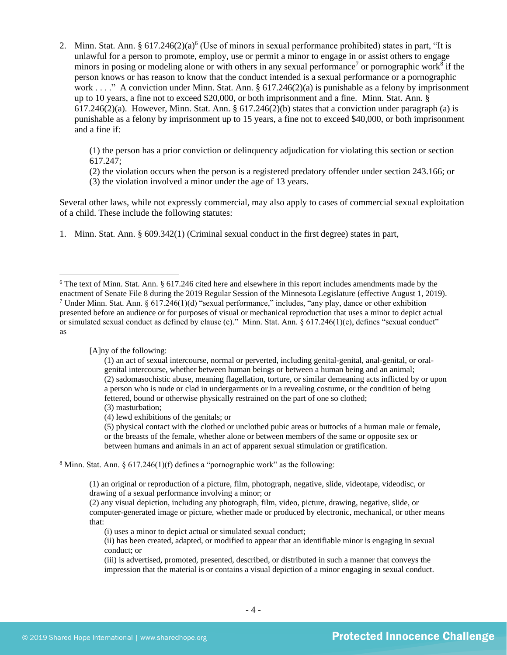<span id="page-3-2"></span>2. Minn. Stat. Ann. §  $617.246(2)(a)^6$  (Use of minors in sexual performance prohibited) states in part, "It is unlawful for a person to promote, employ, use or permit a minor to engage in or assist others to engage minors in posing or modeling alone or with others in any sexual performance<sup>7</sup> or pornographic work<sup>8</sup> if the person knows or has reason to know that the conduct intended is a sexual performance or a pornographic work . . . ." A conviction under Minn. Stat. Ann.  $\S 617.246(2)(a)$  is punishable as a felony by imprisonment up to 10 years, a fine not to exceed \$20,000, or both imprisonment and a fine. Minn. Stat. Ann. §  $617.246(2)(a)$ . However, Minn. Stat. Ann. §  $617.246(2)(b)$  states that a conviction under paragraph (a) is punishable as a felony by imprisonment up to 15 years, a fine not to exceed \$40,000, or both imprisonment and a fine if:

<span id="page-3-1"></span><span id="page-3-0"></span>(1) the person has a prior conviction or delinquency adjudication for violating this section or section 617.247;

(2) the violation occurs when the person is a registered predatory offender under section 243.166; or

(3) the violation involved a minor under the age of 13 years.

Several other laws, while not expressly commercial, may also apply to cases of commercial sexual exploitation of a child. These include the following statutes:

1. Minn. Stat. Ann. § 609.342(1) (Criminal sexual conduct in the first degree) states in part,

[A]ny of the following:

(1) an act of sexual intercourse, normal or perverted, including genital-genital, anal-genital, or oralgenital intercourse, whether between human beings or between a human being and an animal; (2) sadomasochistic abuse, meaning flagellation, torture, or similar demeaning acts inflicted by or upon a person who is nude or clad in undergarments or in a revealing costume, or the condition of being fettered, bound or otherwise physically restrained on the part of one so clothed; (3) masturbation;

(4) lewd exhibitions of the genitals; or

(5) physical contact with the clothed or unclothed pubic areas or buttocks of a human male or female, or the breasts of the female, whether alone or between members of the same or opposite sex or between humans and animals in an act of apparent sexual stimulation or gratification.

<sup>8</sup> Minn. Stat. Ann. §  $617.246(1)(f)$  defines a "pornographic work" as the following:

(1) an original or reproduction of a picture, film, photograph, negative, slide, videotape, videodisc, or drawing of a sexual performance involving a minor; or

(2) any visual depiction, including any photograph, film, video, picture, drawing, negative, slide, or computer-generated image or picture, whether made or produced by electronic, mechanical, or other means that:

(i) uses a minor to depict actual or simulated sexual conduct;

(ii) has been created, adapted, or modified to appear that an identifiable minor is engaging in sexual conduct; or

(iii) is advertised, promoted, presented, described, or distributed in such a manner that conveys the impression that the material is or contains a visual depiction of a minor engaging in sexual conduct.

 $6$  The text of Minn. Stat. Ann.  $\S 617.246$  cited here and elsewhere in this report includes amendments made by the enactment of Senate File 8 during the 2019 Regular Session of the Minnesota Legislature (effective August 1, 2019). <sup>7</sup> Under Minn. Stat. Ann.  $\S 617.246(1)(d)$  "sexual performance," includes, "any play, dance or other exhibition presented before an audience or for purposes of visual or mechanical reproduction that uses a minor to depict actual or simulated sexual conduct as defined by clause (e)." Minn. Stat. Ann. § 617.246(1)(e), defines "sexual conduct" as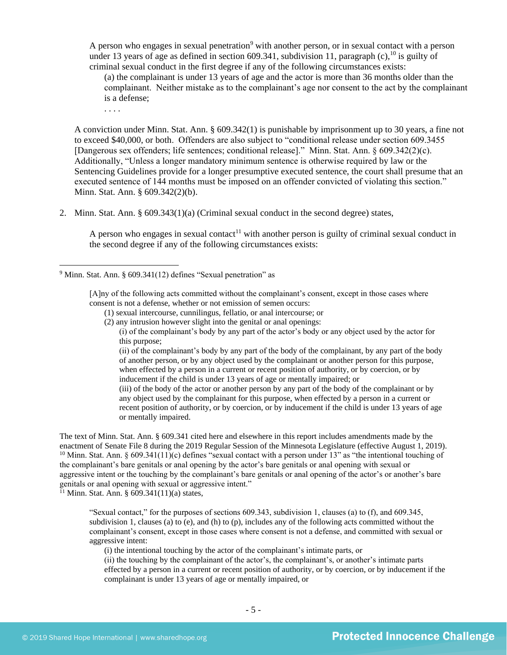A person who engages in sexual penetration<sup>9</sup> with another person, or in sexual contact with a person under 13 years of age as defined in section 609.341, subdivision 11, paragraph (c), <sup>10</sup> is guilty of criminal sexual conduct in the first degree if any of the following circumstances exists:

<span id="page-4-0"></span>(a) the complainant is under 13 years of age and the actor is more than 36 months older than the complainant. Neither mistake as to the complainant's age nor consent to the act by the complainant is a defense;

. . . .

A conviction under Minn. Stat. Ann. § 609.342(1) is punishable by imprisonment up to 30 years, a fine not to exceed \$40,000, or both. Offenders are also subject to "conditional release under section 609.3455 [Dangerous sex offenders; life sentences; conditional release]." Minn. Stat. Ann. § 609.342(2)(c). Additionally, "Unless a longer mandatory minimum sentence is otherwise required by law or the Sentencing Guidelines provide for a longer presumptive executed sentence, the court shall presume that an executed sentence of 144 months must be imposed on an offender convicted of violating this section." Minn. Stat. Ann. § 609.342(2)(b).

2. Minn. Stat. Ann. § 609.343(1)(a) (Criminal sexual conduct in the second degree) states,

A person who engages in sexual contact<sup>11</sup> with another person is guilty of criminal sexual conduct in the second degree if any of the following circumstances exists:

[A]ny of the following acts committed without the complainant's consent, except in those cases where consent is not a defense, whether or not emission of semen occurs:

- (1) sexual intercourse, cunnilingus, fellatio, or anal intercourse; or
- (2) any intrusion however slight into the genital or anal openings:
	- (i) of the complainant's body by any part of the actor's body or any object used by the actor for this purpose;

(ii) of the complainant's body by any part of the body of the complainant, by any part of the body of another person, or by any object used by the complainant or another person for this purpose, when effected by a person in a current or recent position of authority, or by coercion, or by inducement if the child is under 13 years of age or mentally impaired; or

(iii) of the body of the actor or another person by any part of the body of the complainant or by any object used by the complainant for this purpose, when effected by a person in a current or recent position of authority, or by coercion, or by inducement if the child is under 13 years of age or mentally impaired.

The text of Minn. Stat. Ann. § 609.341 cited here and elsewhere in this report includes amendments made by the enactment of Senate File 8 during the 2019 Regular Session of the Minnesota Legislature (effective August 1, 2019). <sup>10</sup> Minn. Stat. Ann. § 609.341(11)(c) defines "sexual contact with a person under 13" as "the intentional touching of the complainant's bare genitals or anal opening by the actor's bare genitals or anal opening with sexual or aggressive intent or the touching by the complainant's bare genitals or anal opening of the actor's or another's bare genitals or anal opening with sexual or aggressive intent."

<sup>11</sup> Minn. Stat. Ann. § 609.341(11)(a) states,

"Sexual contact," for the purposes of sections 609.343, subdivision 1, clauses (a) to (f), and 609.345, subdivision 1, clauses (a) to (e), and (h) to (p), includes any of the following acts committed without the complainant's consent, except in those cases where consent is not a defense, and committed with sexual or aggressive intent:

(i) the intentional touching by the actor of the complainant's intimate parts, or

(ii) the touching by the complainant of the actor's, the complainant's, or another's intimate parts effected by a person in a current or recent position of authority, or by coercion, or by inducement if the complainant is under 13 years of age or mentally impaired, or

<sup>9</sup> Minn. Stat. Ann. § 609.341(12) defines "Sexual penetration" as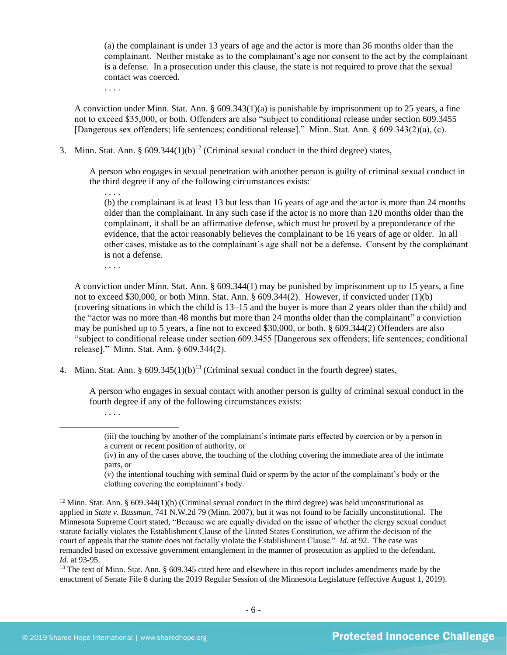(a) the complainant is under 13 years of age and the actor is more than 36 months older than the complainant. Neither mistake as to the complainant's age nor consent to the act by the complainant is a defense. In a prosecution under this clause, the state is not required to prove that the sexual contact was coerced.

. . . .

A conviction under Minn. Stat. Ann.  $\S 609.343(1)(a)$  is punishable by imprisonment up to 25 years, a fine not to exceed \$35,000, or both. Offenders are also "subject to conditional release under section 609.3455 [Dangerous sex offenders; life sentences; conditional release]." Minn. Stat. Ann. § 609.343(2)(a), (c).

3. Minn. Stat. Ann. §  $609.344(1)(b)^{12}$  (Criminal sexual conduct in the third degree) states,

A person who engages in sexual penetration with another person is guilty of criminal sexual conduct in the third degree if any of the following circumstances exists:

. . . .

(b) the complainant is at least 13 but less than 16 years of age and the actor is more than 24 months older than the complainant. In any such case if the actor is no more than 120 months older than the complainant, it shall be an affirmative defense, which must be proved by a preponderance of the evidence, that the actor reasonably believes the complainant to be 16 years of age or older. In all other cases, mistake as to the complainant's age shall not be a defense. Consent by the complainant is not a defense.

. . . .

A conviction under Minn. Stat. Ann. § 609.344(1) may be punished by imprisonment up to 15 years, a fine not to exceed \$30,000, or both Minn. Stat. Ann. § 609.344(2). However, if convicted under (1)(b) (covering situations in which the child is 13–15 and the buyer is more than 2 years older than the child) and the "actor was no more than 48 months but more than 24 months older than the complainant" a conviction may be punished up to 5 years, a fine not to exceed \$30,000, or both. § 609.344(2) Offenders are also "subject to conditional release under section 609.3455 [Dangerous sex offenders; life sentences; conditional release]." Minn. Stat. Ann. § 609.344(2).

4. Minn. Stat. Ann.  $\S 609.345(1)(b)^{13}$  (Criminal sexual conduct in the fourth degree) states.

A person who engages in sexual contact with another person is guilty of criminal sexual conduct in the fourth degree if any of the following circumstances exists:

. . . .

 $13$  The text of Minn. Stat. Ann. § 609.345 cited here and elsewhere in this report includes amendments made by the enactment of Senate File 8 during the 2019 Regular Session of the Minnesota Legislature (effective August 1, 2019).

<sup>(</sup>iii) the touching by another of the complainant's intimate parts effected by coercion or by a person in a current or recent position of authority, or

<sup>(</sup>iv) in any of the cases above, the touching of the clothing covering the immediate area of the intimate parts, or

<sup>(</sup>v) the intentional touching with seminal fluid or sperm by the actor of the complainant's body or the clothing covering the complainant's body.

<sup>&</sup>lt;sup>12</sup> Minn. Stat. Ann. § 609.344(1)(b) (Criminal sexual conduct in the third degree) was held unconstitutional as applied in *State v. Bussman*, 741 N.W.2d 79 (Minn. 2007), but it was not found to be facially unconstitutional. The Minnesota Supreme Court stated, "Because we are equally divided on the issue of whether the clergy sexual conduct statute facially violates the Establishment Clause of the United States Constitution, we affirm the decision of the court of appeals that the statute does not facially violate the Establishment Clause." *Id.* at 92. The case was remanded based on excessive government entanglement in the manner of prosecution as applied to the defendant. *Id.* at 93-95.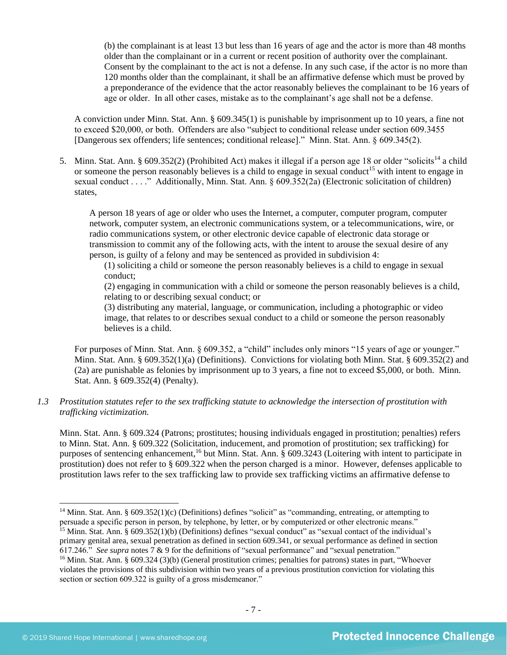(b) the complainant is at least 13 but less than 16 years of age and the actor is more than 48 months older than the complainant or in a current or recent position of authority over the complainant. Consent by the complainant to the act is not a defense. In any such case, if the actor is no more than 120 months older than the complainant, it shall be an affirmative defense which must be proved by a preponderance of the evidence that the actor reasonably believes the complainant to be 16 years of age or older. In all other cases, mistake as to the complainant's age shall not be a defense.

A conviction under Minn. Stat. Ann. § 609.345(1) is punishable by imprisonment up to 10 years, a fine not to exceed \$20,000, or both. Offenders are also "subject to conditional release under section 609.3455 [Dangerous sex offenders; life sentences; conditional release]." Minn. Stat. Ann. § 609.345(2).

5. Minn. Stat. Ann. § 609.352(2) (Prohibited Act) makes it illegal if a person age 18 or older "solicits<sup>14</sup> a child or someone the person reasonably believes is a child to engage in sexual conduct<sup>15</sup> with intent to engage in sexual conduct . . . ." Additionally, Minn. Stat. Ann. § 609.352(2a) (Electronic solicitation of children) states,

A person 18 years of age or older who uses the Internet, a computer, computer program, computer network, computer system, an electronic communications system, or a telecommunications, wire, or radio communications system, or other electronic device capable of electronic data storage or transmission to commit any of the following acts, with the intent to arouse the sexual desire of any person, is guilty of a felony and may be sentenced as provided in subdivision 4:

<span id="page-6-1"></span><span id="page-6-0"></span>(1) soliciting a child or someone the person reasonably believes is a child to engage in sexual conduct;

(2) engaging in communication with a child or someone the person reasonably believes is a child, relating to or describing sexual conduct; or

(3) distributing any material, language, or communication, including a photographic or video image, that relates to or describes sexual conduct to a child or someone the person reasonably believes is a child.

For purposes of Minn. Stat. Ann. § 609.352, a "child" includes only minors "15 years of age or younger." Minn. Stat. Ann. § 609.352(1)(a) (Definitions). Convictions for violating both Minn. Stat. § 609.352(2) and (2a) are punishable as felonies by imprisonment up to 3 years, a fine not to exceed \$5,000, or both. Minn. Stat. Ann. § 609.352(4) (Penalty).

# *1.3 Prostitution statutes refer to the sex trafficking statute to acknowledge the intersection of prostitution with trafficking victimization.*

Minn. Stat. Ann. § 609.324 (Patrons; prostitutes; housing individuals engaged in prostitution; penalties) refers to Minn. Stat. Ann. § 609.322 (Solicitation, inducement, and promotion of prostitution; sex trafficking) for purposes of sentencing enhancement,<sup>16</sup> but Minn. Stat. Ann. § 609.3243 (Loitering with intent to participate in prostitution) does not refer to § 609.322 when the person charged is a minor. However, defenses applicable to prostitution laws refer to the sex trafficking law to provide sex trafficking victims an affirmative defense to

<sup>15</sup> Minn. Stat. Ann. § 609.352(1)(b) (Definitions) defines "sexual conduct" as "sexual contact of the individual's primary genital area, sexual penetration as defined in section 609.341, or sexual performance as defined in section

<sup>&</sup>lt;sup>14</sup> Minn. Stat. Ann. § 609.352(1)(c) (Definitions) defines "solicit" as "commanding, entreating, or attempting to persuade a specific person in person, by telephone, by letter, or by computerized or other electronic means."

<sup>617.246.&</sup>quot; *See supra* note[s 7](#page-3-0) [& 9](#page-4-0) for the definitions of "sexual performance" and "sexual penetration." <sup>16</sup> Minn. Stat. Ann. § 609.324 (3)(b) (General prostitution crimes; penalties for patrons) states in part, "Whoever

violates the provisions of this subdivision within two years of a previous prostitution conviction for violating this section or section 609.322 is guilty of a gross misdemeanor."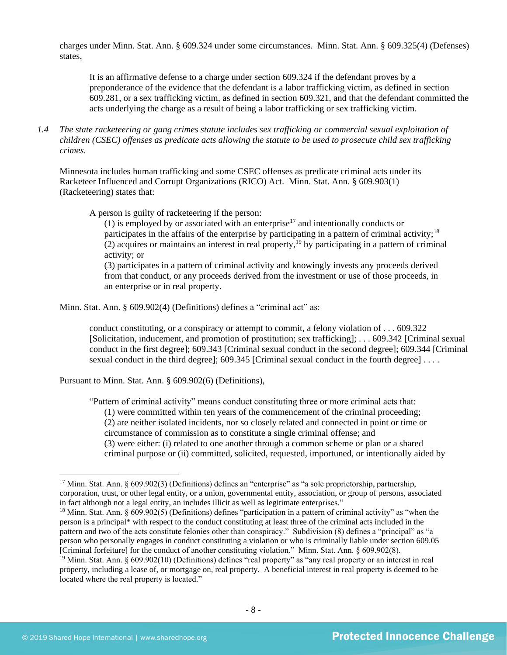charges under Minn. Stat. Ann. § 609.324 under some circumstances. Minn. Stat. Ann. § 609.325(4) (Defenses) states,

It is an affirmative defense to a charge under section 609.324 if the defendant proves by a preponderance of the evidence that the defendant is a labor trafficking victim, as defined in section 609.281, or a sex trafficking victim, as defined in section 609.321, and that the defendant committed the acts underlying the charge as a result of being a labor trafficking or sex trafficking victim.

*1.4 The state racketeering or gang crimes statute includes sex trafficking or commercial sexual exploitation of children (CSEC) offenses as predicate acts allowing the statute to be used to prosecute child sex trafficking crimes.* 

Minnesota includes human trafficking and some CSEC offenses as predicate criminal acts under its Racketeer Influenced and Corrupt Organizations (RICO) Act. Minn. Stat. Ann. § 609.903(1) (Racketeering) states that:

A person is guilty of racketeering if the person:

(1) is employed by or associated with an enterprise<sup>17</sup> and intentionally conducts or participates in the affairs of the enterprise by participating in a pattern of criminal activity;<sup>18</sup> (2) acquires or maintains an interest in real property,<sup>19</sup> by participating in a pattern of criminal activity; or

(3) participates in a pattern of criminal activity and knowingly invests any proceeds derived from that conduct, or any proceeds derived from the investment or use of those proceeds, in an enterprise or in real property.

Minn. Stat. Ann. § 609.902(4) (Definitions) defines a "criminal act" as:

conduct constituting, or a conspiracy or attempt to commit, a felony violation of . . . 609.322 [Solicitation, inducement, and promotion of prostitution; sex trafficking]; . . . 609.342 [Criminal sexual conduct in the first degree]; 609.343 [Criminal sexual conduct in the second degree]; 609.344 [Criminal sexual conduct in the third degree]; 609.345 [Criminal sexual conduct in the fourth degree] . . . .

Pursuant to Minn. Stat. Ann. § 609.902(6) (Definitions),

"Pattern of criminal activity" means conduct constituting three or more criminal acts that: (1) were committed within ten years of the commencement of the criminal proceeding; (2) are neither isolated incidents, nor so closely related and connected in point or time or circumstance of commission as to constitute a single criminal offense; and (3) were either: (i) related to one another through a common scheme or plan or a shared criminal purpose or (ii) committed, solicited, requested, importuned, or intentionally aided by

<sup>&</sup>lt;sup>17</sup> Minn. Stat. Ann. § 609.902(3) (Definitions) defines an "enterprise" as "a sole proprietorship, partnership, corporation, trust, or other legal entity, or a union, governmental entity, association, or group of persons, associated in fact although not a legal entity, an includes illicit as well as legitimate enterprises."

 $18$  Minn. Stat. Ann. § 609.902(5) (Definitions) defines "participation in a pattern of criminal activity" as "when the person is a principal\* with respect to the conduct constituting at least three of the criminal acts included in the pattern and two of the acts constitute felonies other than conspiracy." Subdivision (8) defines a "principal" as "a person who personally engages in conduct constituting a violation or who is criminally liable under section 609.05 [Criminal forfeiture] for the conduct of another constituting violation." Minn. Stat. Ann. § 609.902(8).

<sup>&</sup>lt;sup>19</sup> Minn. Stat. Ann. § 609.902(10) (Definitions) defines "real property" as "any real property or an interest in real property, including a lease of, or mortgage on, real property. A beneficial interest in real property is deemed to be located where the real property is located."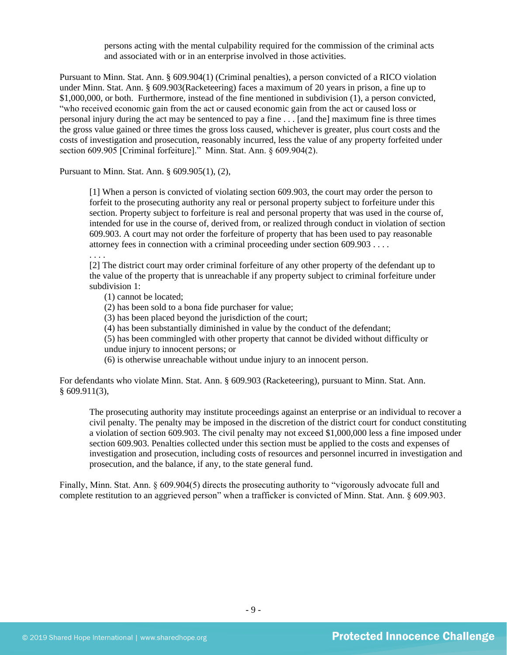persons acting with the mental culpability required for the commission of the criminal acts and associated with or in an enterprise involved in those activities.

Pursuant to Minn. Stat. Ann. § 609.904(1) (Criminal penalties), a person convicted of a RICO violation under Minn. Stat. Ann. § 609.903(Racketeering) faces a maximum of 20 years in prison, a fine up to \$1,000,000, or both. Furthermore, instead of the fine mentioned in subdivision (1), a person convicted, "who received economic gain from the act or caused economic gain from the act or caused loss or personal injury during the act may be sentenced to pay a fine . . . [and the] maximum fine is three times the gross value gained or three times the gross loss caused, whichever is greater, plus court costs and the costs of investigation and prosecution, reasonably incurred, less the value of any property forfeited under section 609.905 [Criminal forfeiture]." Minn. Stat. Ann. § 609.904(2).

Pursuant to Minn. Stat. Ann. § 609.905(1), (2),

[1] When a person is convicted of violating section 609.903, the court may order the person to forfeit to the prosecuting authority any real or personal property subject to forfeiture under this section. Property subject to forfeiture is real and personal property that was used in the course of, intended for use in the course of, derived from, or realized through conduct in violation of section 609.903. A court may not order the forfeiture of property that has been used to pay reasonable attorney fees in connection with a criminal proceeding under section 609.903 . . . .

. . . .

[2] The district court may order criminal forfeiture of any other property of the defendant up to the value of the property that is unreachable if any property subject to criminal forfeiture under subdivision 1:

- (1) cannot be located;
- (2) has been sold to a bona fide purchaser for value;
- (3) has been placed beyond the jurisdiction of the court;
- (4) has been substantially diminished in value by the conduct of the defendant;
- (5) has been commingled with other property that cannot be divided without difficulty or undue injury to innocent persons; or
- (6) is otherwise unreachable without undue injury to an innocent person.

For defendants who violate Minn. Stat. Ann. § 609.903 (Racketeering), pursuant to Minn. Stat. Ann. § 609.911(3),

The prosecuting authority may institute proceedings against an enterprise or an individual to recover a civil penalty. The penalty may be imposed in the discretion of the district court for conduct constituting a violation of section 609.903. The civil penalty may not exceed \$1,000,000 less a fine imposed under section 609.903. Penalties collected under this section must be applied to the costs and expenses of investigation and prosecution, including costs of resources and personnel incurred in investigation and prosecution, and the balance, if any, to the state general fund.

Finally, Minn. Stat. Ann. § 609.904(5) directs the prosecuting authority to "vigorously advocate full and complete restitution to an aggrieved person" when a trafficker is convicted of Minn. Stat. Ann. § 609.903.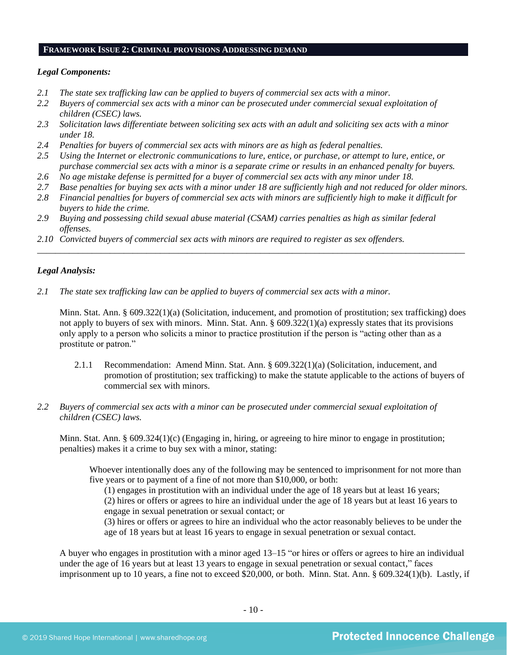## **FRAMEWORK ISSUE 2: CRIMINAL PROVISIONS ADDRESSING DEMAND**

#### *Legal Components:*

- *2.1 The state sex trafficking law can be applied to buyers of commercial sex acts with a minor.*
- *2.2 Buyers of commercial sex acts with a minor can be prosecuted under commercial sexual exploitation of children (CSEC) laws.*
- *2.3 Solicitation laws differentiate between soliciting sex acts with an adult and soliciting sex acts with a minor under 18.*
- *2.4 Penalties for buyers of commercial sex acts with minors are as high as federal penalties.*
- *2.5 Using the Internet or electronic communications to lure, entice, or purchase, or attempt to lure, entice, or purchase commercial sex acts with a minor is a separate crime or results in an enhanced penalty for buyers.*
- *2.6 No age mistake defense is permitted for a buyer of commercial sex acts with any minor under 18.*
- *2.7 Base penalties for buying sex acts with a minor under 18 are sufficiently high and not reduced for older minors.*
- *2.8 Financial penalties for buyers of commercial sex acts with minors are sufficiently high to make it difficult for buyers to hide the crime.*

\_\_\_\_\_\_\_\_\_\_\_\_\_\_\_\_\_\_\_\_\_\_\_\_\_\_\_\_\_\_\_\_\_\_\_\_\_\_\_\_\_\_\_\_\_\_\_\_\_\_\_\_\_\_\_\_\_\_\_\_\_\_\_\_\_\_\_\_\_\_\_\_\_\_\_\_\_\_\_\_\_\_\_\_\_\_\_\_\_\_\_\_\_\_

- *2.9 Buying and possessing child sexual abuse material (CSAM) carries penalties as high as similar federal offenses.*
- *2.10 Convicted buyers of commercial sex acts with minors are required to register as sex offenders.*

# *Legal Analysis:*

*2.1 The state sex trafficking law can be applied to buyers of commercial sex acts with a minor.*

Minn. Stat. Ann. § 609.322(1)(a) (Solicitation, inducement, and promotion of prostitution; sex trafficking) does not apply to buyers of sex with minors. Minn. Stat. Ann. § 609.322(1)(a) expressly states that its provisions only apply to a person who solicits a minor to practice prostitution if the person is "acting other than as a prostitute or patron."

- 2.1.1 Recommendation: Amend Minn. Stat. Ann. § 609.322(1)(a) (Solicitation, inducement, and promotion of prostitution; sex trafficking) to make the statute applicable to the actions of buyers of commercial sex with minors.
- *2.2 Buyers of commercial sex acts with a minor can be prosecuted under commercial sexual exploitation of children (CSEC) laws.*

Minn. Stat. Ann. § 609.324(1)(c) (Engaging in, hiring, or agreeing to hire minor to engage in prostitution; penalties) makes it a crime to buy sex with a minor, stating:

Whoever intentionally does any of the following may be sentenced to imprisonment for not more than five years or to payment of a fine of not more than \$10,000, or both:

(1) engages in prostitution with an individual under the age of 18 years but at least 16 years;

(2) hires or offers or agrees to hire an individual under the age of 18 years but at least 16 years to engage in sexual penetration or sexual contact; or

(3) hires or offers or agrees to hire an individual who the actor reasonably believes to be under the age of 18 years but at least 16 years to engage in sexual penetration or sexual contact.

A buyer who engages in prostitution with a minor aged 13–15 "or hires or offers or agrees to hire an individual under the age of 16 years but at least 13 years to engage in sexual penetration or sexual contact," faces imprisonment up to 10 years, a fine not to exceed \$20,000, or both. Minn. Stat. Ann. § 609.324(1)(b). Lastly, if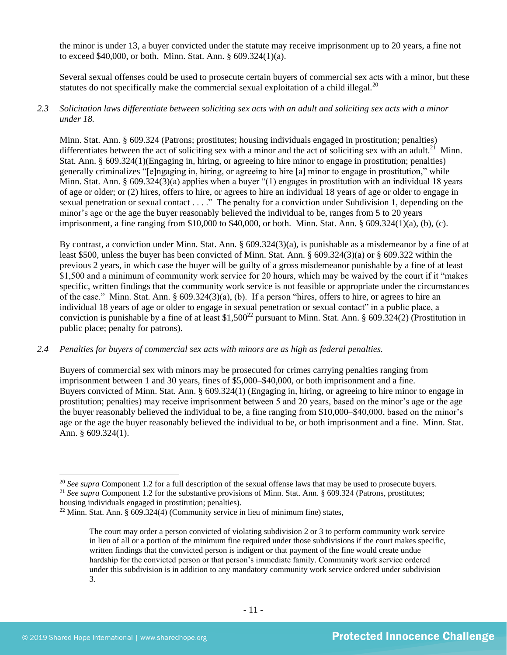the minor is under 13, a buyer convicted under the statute may receive imprisonment up to 20 years, a fine not to exceed \$40,000, or both. Minn. Stat. Ann. § 609.324(1)(a).

Several sexual offenses could be used to prosecute certain buyers of commercial sex acts with a minor, but these statutes do not specifically make the commercial sexual exploitation of a child illegal.<sup>20</sup>

# *2.3 Solicitation laws differentiate between soliciting sex acts with an adult and soliciting sex acts with a minor under 18.*

Minn. Stat. Ann. § 609.324 (Patrons; prostitutes; housing individuals engaged in prostitution; penalties) differentiates between the act of soliciting sex with a minor and the act of soliciting sex with an adult.<sup>21</sup> Minn. Stat. Ann. § 609.324(1)(Engaging in, hiring, or agreeing to hire minor to engage in prostitution; penalties) generally criminalizes "[e]ngaging in, hiring, or agreeing to hire [a] minor to engage in prostitution," while Minn. Stat. Ann. § 609.324(3)(a) applies when a buyer "(1) engages in prostitution with an individual 18 years of age or older; or (2) hires, offers to hire, or agrees to hire an individual 18 years of age or older to engage in sexual penetration or sexual contact . . . ." The penalty for a conviction under Subdivision 1, depending on the minor's age or the age the buyer reasonably believed the individual to be, ranges from 5 to 20 years imprisonment, a fine ranging from \$10,000 to \$40,000, or both. Minn. Stat. Ann. § 609.324(1)(a), (b), (c).

By contrast, a conviction under Minn. Stat. Ann. § 609.324(3)(a), is punishable as a misdemeanor by a fine of at least \$500, unless the buyer has been convicted of Minn. Stat. Ann. § 609.324(3)(a) or § 609.322 within the previous 2 years, in which case the buyer will be guilty of a gross misdemeanor punishable by a fine of at least \$1,500 and a minimum of community work service for 20 hours, which may be waived by the court if it "makes specific, written findings that the community work service is not feasible or appropriate under the circumstances of the case." Minn. Stat. Ann. § 609.324(3)(a), (b). If a person "hires, offers to hire, or agrees to hire an individual 18 years of age or older to engage in sexual penetration or sexual contact" in a public place, a conviction is punishable by a fine of at least  $$1,500^{22}$  pursuant to Minn. Stat. Ann. § 609.324(2) (Prostitution in public place; penalty for patrons).

#### *2.4 Penalties for buyers of commercial sex acts with minors are as high as federal penalties.*

Buyers of commercial sex with minors may be prosecuted for crimes carrying penalties ranging from imprisonment between 1 and 30 years, fines of \$5,000–\$40,000, or both imprisonment and a fine. Buyers convicted of Minn. Stat. Ann. § 609.324(1) (Engaging in, hiring, or agreeing to hire minor to engage in prostitution; penalties) may receive imprisonment between 5 and 20 years, based on the minor's age or the age the buyer reasonably believed the individual to be, a fine ranging from \$10,000–\$40,000, based on the minor's age or the age the buyer reasonably believed the individual to be, or both imprisonment and a fine. Minn. Stat. Ann. § 609.324(1).

<sup>&</sup>lt;sup>20</sup> *See supra* Component 1.2 for a full description of the sexual offense laws that may be used to prosecute buyers. <sup>21</sup> *See supra* Component 1.2 for the substantive provisions of Minn. Stat. Ann. § 609.324 (Patrons, prostitutes; housing individuals engaged in prostitution; penalties).

 $22$  Minn. Stat. Ann. § 609.324(4) (Community service in lieu of minimum fine) states,

The court may order a person convicted of violating subdivision 2 or 3 to perform community work service in lieu of all or a portion of the minimum fine required under those subdivisions if the court makes specific, written findings that the convicted person is indigent or that payment of the fine would create undue hardship for the convicted person or that person's immediate family. Community work service ordered under this subdivision is in addition to any mandatory community work service ordered under subdivision 3.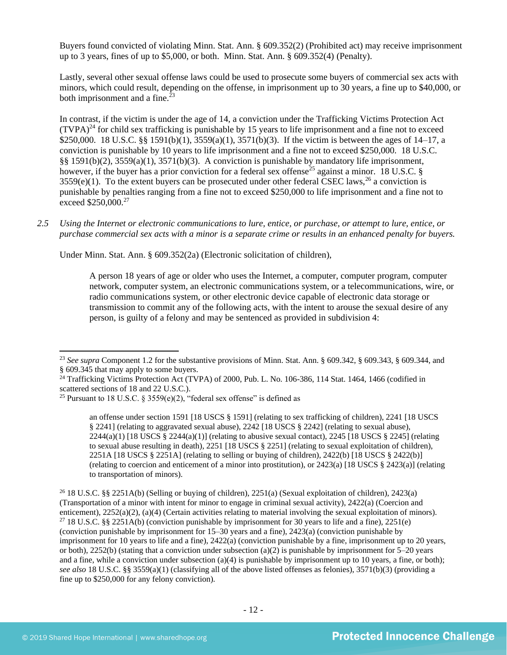Buyers found convicted of violating Minn. Stat. Ann. § 609.352(2) (Prohibited act) may receive imprisonment up to 3 years, fines of up to \$5,000, or both. Minn. Stat. Ann. § 609.352(4) (Penalty).

Lastly, several other sexual offense laws could be used to prosecute some buyers of commercial sex acts with minors, which could result, depending on the offense, in imprisonment up to 30 years, a fine up to \$40,000, or both imprisonment and a fine.<sup> $23$ </sup>

<span id="page-11-0"></span>In contrast, if the victim is under the age of 14, a conviction under the Trafficking Victims Protection Act  $(TVPA)<sup>24</sup>$  for child sex trafficking is punishable by 15 years to life imprisonment and a fine not to exceed \$250,000. 18 U.S.C. §§ 1591(b)(1), 3559(a)(1), 3571(b)(3). If the victim is between the ages of 14–17, a conviction is punishable by 10 years to life imprisonment and a fine not to exceed \$250,000. 18 U.S.C. §§ 1591(b)(2), 3559(a)(1), 3571(b)(3). A conviction is punishable by mandatory life imprisonment, however, if the buyer has a prior conviction for a federal sex offense<sup>25</sup> against a minor. 18 U.S.C. §  $3559(e)(1)$ . To the extent buyers can be prosecuted under other federal CSEC laws,<sup>26</sup> a conviction is punishable by penalties ranging from a fine not to exceed \$250,000 to life imprisonment and a fine not to exceed \$250,000.<sup>27</sup>

*2.5 Using the Internet or electronic communications to lure, entice, or purchase, or attempt to lure, entice, or purchase commercial sex acts with a minor is a separate crime or results in an enhanced penalty for buyers.*

Under Minn. Stat. Ann. § 609.352(2a) (Electronic solicitation of children),

<span id="page-11-1"></span>A person 18 years of age or older who uses the Internet, a computer, computer program, computer network, computer system, an electronic communications system, or a telecommunications, wire, or radio communications system, or other electronic device capable of electronic data storage or transmission to commit any of the following acts, with the intent to arouse the sexual desire of any person, is guilty of a felony and may be sentenced as provided in subdivision 4:

<sup>23</sup> *See supra* Component 1.2 for the substantive provisions of Minn. Stat. Ann. § 609.342, § 609.343, § 609.344, and § 609.345 that may apply to some buyers.

 $^{24}$  Trafficking Victims Protection Act (TVPA) of 2000, Pub. L. No. 106-386, 114 Stat. 1464, 1466 (codified in scattered sections of 18 and 22 U.S.C.).

<sup>&</sup>lt;sup>25</sup> Pursuant to 18 U.S.C. § 3559(e)(2), "federal sex offense" is defined as

an offense under section 1591 [18 USCS § 1591] (relating to sex trafficking of children), 2241 [18 USCS § 2241] (relating to aggravated sexual abuse), 2242 [18 USCS § 2242] (relating to sexual abuse),  $2244(a)(1)$  [18 USCS §  $2244(a)(1)$ ] (relating to abusive sexual contact),  $2245$  [18 USCS § 2245] (relating to sexual abuse resulting in death), 2251 [18 USCS § 2251] (relating to sexual exploitation of children), 2251A [18 USCS § 2251A] (relating to selling or buying of children), 2422(b) [18 USCS § 2422(b)] (relating to coercion and enticement of a minor into prostitution), or 2423(a) [18 USCS § 2423(a)] (relating to transportation of minors).

<sup>26</sup> 18 U.S.C. §§ 2251A(b) (Selling or buying of children), 2251(a) (Sexual exploitation of children), 2423(a) (Transportation of a minor with intent for minor to engage in criminal sexual activity), 2422(a) (Coercion and enticement), 2252(a)(2), (a)(4) (Certain activities relating to material involving the sexual exploitation of minors). <sup>27</sup> 18 U.S.C. §§ 2251A(b) (conviction punishable by imprisonment for 30 years to life and a fine), 2251(e) (conviction punishable by imprisonment for 15–30 years and a fine), 2423(a) (conviction punishable by imprisonment for 10 years to life and a fine), 2422(a) (conviction punishable by a fine, imprisonment up to 20 years, or both), 2252(b) (stating that a conviction under subsection (a)(2) is punishable by imprisonment for  $5-20$  years and a fine, while a conviction under subsection (a)(4) is punishable by imprisonment up to 10 years, a fine, or both); *see also* 18 U.S.C. §§ 3559(a)(1) (classifying all of the above listed offenses as felonies), 3571(b)(3) (providing a fine up to \$250,000 for any felony conviction).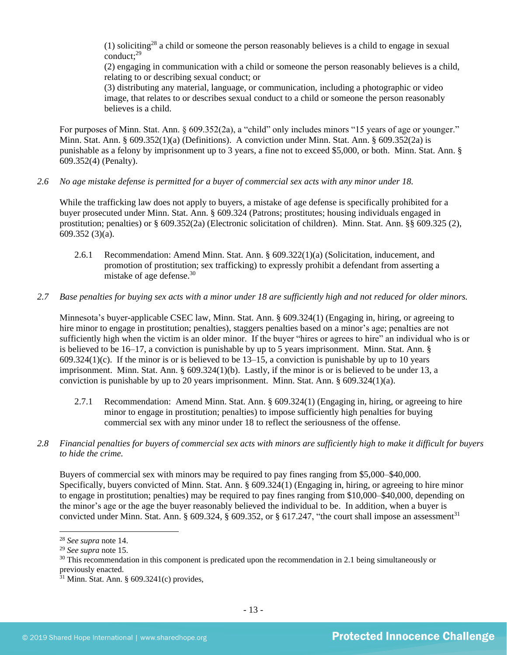(1) soliciting<sup>28</sup> a child or someone the person reasonably believes is a child to engage in sexual conduct:<sup>29</sup>

(2) engaging in communication with a child or someone the person reasonably believes is a child, relating to or describing sexual conduct; or

(3) distributing any material, language, or communication, including a photographic or video image, that relates to or describes sexual conduct to a child or someone the person reasonably believes is a child.

For purposes of Minn. Stat. Ann. § 609.352(2a), a "child" only includes minors "15 years of age or younger." Minn. Stat. Ann. § 609.352(1)(a) (Definitions). A conviction under Minn. Stat. Ann. § 609.352(2a) is punishable as a felony by imprisonment up to 3 years, a fine not to exceed \$5,000, or both. Minn. Stat. Ann. § 609.352(4) (Penalty).

*2.6 No age mistake defense is permitted for a buyer of commercial sex acts with any minor under 18.*

While the trafficking law does not apply to buyers, a mistake of age defense is specifically prohibited for a buyer prosecuted under Minn. Stat. Ann. § 609.324 (Patrons; prostitutes; housing individuals engaged in prostitution; penalties) or § 609.352(2a) (Electronic solicitation of children). Minn. Stat. Ann. §§ 609.325 (2), 609.352 (3)(a).

- 2.6.1 Recommendation: Amend Minn. Stat. Ann. § 609.322(1)(a) (Solicitation, inducement, and promotion of prostitution; sex trafficking) to expressly prohibit a defendant from asserting a mistake of age defense.<sup>30</sup>
- *2.7 Base penalties for buying sex acts with a minor under 18 are sufficiently high and not reduced for older minors.*

Minnesota's buyer-applicable CSEC law, Minn. Stat. Ann. § 609.324(1) (Engaging in, hiring, or agreeing to hire minor to engage in prostitution; penalties), staggers penalties based on a minor's age; penalties are not sufficiently high when the victim is an older minor. If the buyer "hires or agrees to hire" an individual who is or is believed to be 16–17, a conviction is punishable by up to 5 years imprisonment. Minn. Stat. Ann. § 609.324(1)(c). If the minor is or is believed to be  $13-15$ , a conviction is punishable by up to 10 years imprisonment. Minn. Stat. Ann. § 609.324(1)(b). Lastly, if the minor is or is believed to be under 13, a conviction is punishable by up to 20 years imprisonment. Minn. Stat. Ann. § 609.324(1)(a).

- 2.7.1 Recommendation: Amend Minn. Stat. Ann. § 609.324(1) (Engaging in, hiring, or agreeing to hire minor to engage in prostitution; penalties) to impose sufficiently high penalties for buying commercial sex with any minor under 18 to reflect the seriousness of the offense.
- *2.8 Financial penalties for buyers of commercial sex acts with minors are sufficiently high to make it difficult for buyers to hide the crime.*

Buyers of commercial sex with minors may be required to pay fines ranging from \$5,000–\$40,000. Specifically, buyers convicted of Minn. Stat. Ann. § 609.324(1) (Engaging in, hiring, or agreeing to hire minor to engage in prostitution; penalties) may be required to pay fines ranging from \$10,000–\$40,000, depending on the minor's age or the age the buyer reasonably believed the individual to be. In addition, when a buyer is convicted under Minn. Stat. Ann. § 609.324, § 609.352, or § 617.247, "the court shall impose an assessment<sup>31</sup>

<sup>28</sup> *See supra* note [14.](#page-6-0)

<span id="page-12-0"></span><sup>29</sup> *See supra* note [15.](#page-6-1)

<sup>&</sup>lt;sup>30</sup> This recommendation in this component is predicated upon the recommendation in 2.1 being simultaneously or previously enacted.

 $31$  Minn. Stat. Ann. § 609.3241(c) provides.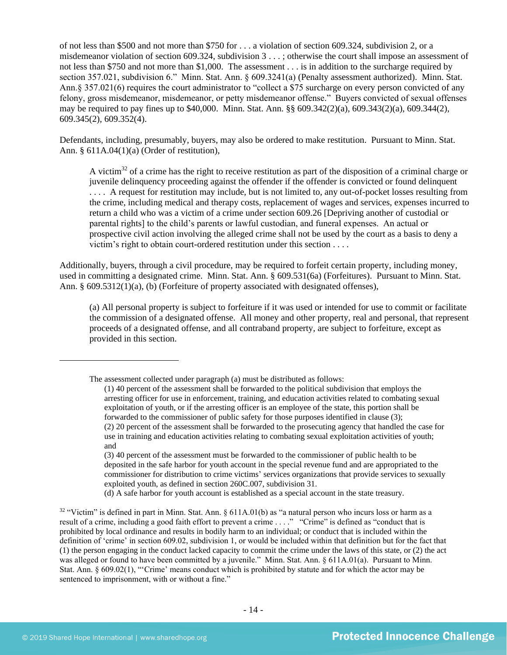of not less than \$500 and not more than \$750 for . . . a violation of section 609.324, subdivision 2, or a misdemeanor violation of section 609.324, subdivision 3 . . . ; otherwise the court shall impose an assessment of not less than \$750 and not more than \$1,000. The assessment . . . is in addition to the surcharge required by section 357.021, subdivision 6." Minn. Stat. Ann. § 609.3241(a) (Penalty assessment authorized). Minn. Stat. Ann.§ 357.021(6) requires the court administrator to "collect a \$75 surcharge on every person convicted of any felony, gross misdemeanor, misdemeanor, or petty misdemeanor offense." Buyers convicted of sexual offenses may be required to pay fines up to \$40,000. Minn. Stat. Ann. §§ 609.342(2)(a), 609.343(2)(a), 609.344(2), 609.345(2), 609.352(4).

Defendants, including, presumably, buyers, may also be ordered to make restitution. Pursuant to Minn. Stat. Ann. § 611A.04(1)(a) (Order of restitution),

<span id="page-13-0"></span>A victim<sup>32</sup> of a crime has the right to receive restitution as part of the disposition of a criminal charge or juvenile delinquency proceeding against the offender if the offender is convicted or found delinquent . . . . A request for restitution may include, but is not limited to, any out-of-pocket losses resulting from the crime, including medical and therapy costs, replacement of wages and services, expenses incurred to return a child who was a victim of a crime under section 609.26 [Depriving another of custodial or parental rights] to the child's parents or lawful custodian, and funeral expenses. An actual or prospective civil action involving the alleged crime shall not be used by the court as a basis to deny a victim's right to obtain court-ordered restitution under this section . . . .

Additionally, buyers, through a civil procedure, may be required to forfeit certain property, including money, used in committing a designated crime. Minn. Stat. Ann. § 609.531(6a) (Forfeitures). Pursuant to Minn. Stat. Ann. § 609.5312(1)(a), (b) (Forfeiture of property associated with designated offenses),

(a) All personal property is subject to forfeiture if it was used or intended for use to commit or facilitate the commission of a designated offense. All money and other property, real and personal, that represent proceeds of a designated offense, and all contraband property, are subject to forfeiture, except as provided in this section.

The assessment collected under paragraph (a) must be distributed as follows:

<sup>(1) 40</sup> percent of the assessment shall be forwarded to the political subdivision that employs the arresting officer for use in enforcement, training, and education activities related to combating sexual exploitation of youth, or if the arresting officer is an employee of the state, this portion shall be forwarded to the commissioner of public safety for those purposes identified in clause (3); (2) 20 percent of the assessment shall be forwarded to the prosecuting agency that handled the case for use in training and education activities relating to combating sexual exploitation activities of youth; and

<sup>(3) 40</sup> percent of the assessment must be forwarded to the commissioner of public health to be deposited in the safe harbor for youth account in the special revenue fund and are appropriated to the commissioner for distribution to crime victims' services organizations that provide services to sexually exploited youth, as defined in section 260C.007, subdivision 31.

<sup>(</sup>d) A safe harbor for youth account is established as a special account in the state treasury.

 $32$  "Victim" is defined in part in Minn. Stat. Ann. § 611A.01(b) as "a natural person who incurs loss or harm as a result of a crime, including a good faith effort to prevent a crime . . . ." "Crime" is defined as "conduct that is prohibited by local ordinance and results in bodily harm to an individual; or conduct that is included within the definition of 'crime' in section 609.02, subdivision 1, or would be included within that definition but for the fact that (1) the person engaging in the conduct lacked capacity to commit the crime under the laws of this state, or (2) the act was alleged or found to have been committed by a juvenile." Minn. Stat. Ann. § 611A.01(a). Pursuant to Minn. Stat. Ann. § 609.02(1), "'Crime' means conduct which is prohibited by statute and for which the actor may be sentenced to imprisonment, with or without a fine."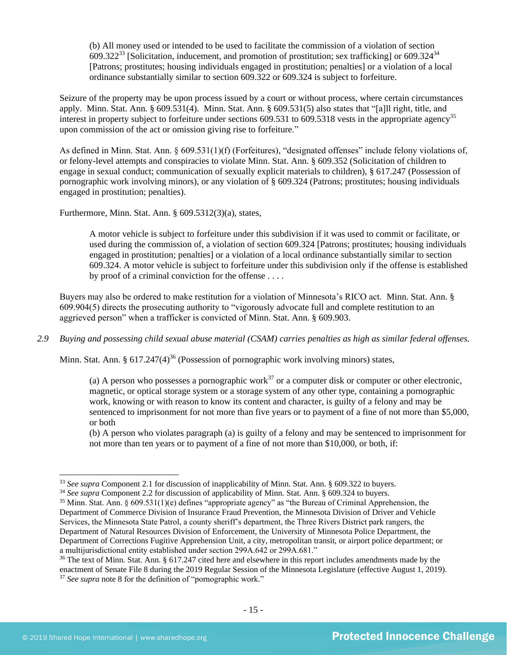<span id="page-14-0"></span>(b) All money used or intended to be used to facilitate the commission of a violation of section  $609.322^{33}$  [Solicitation, inducement, and promotion of prostitution; sex trafficking] or  $609.324^{34}$ [Patrons; prostitutes; housing individuals engaged in prostitution; penalties] or a violation of a local ordinance substantially similar to section 609.322 or 609.324 is subject to forfeiture.

Seizure of the property may be upon process issued by a court or without process, where certain circumstances apply. Minn. Stat. Ann. § 609.531(4). Minn. Stat. Ann. § 609.531(5) also states that "[a]ll right, title, and interest in property subject to forfeiture under sections 609.531 to 609.5318 vests in the appropriate agency<sup>35</sup> upon commission of the act or omission giving rise to forfeiture."

As defined in Minn. Stat. Ann. § 609.531(1)(f) (Forfeitures), "designated offenses" include felony violations of, or felony-level attempts and conspiracies to violate Minn. Stat. Ann. § 609.352 (Solicitation of children to engage in sexual conduct; communication of sexually explicit materials to children), § 617.247 (Possession of pornographic work involving minors), or any violation of § 609.324 (Patrons; prostitutes; housing individuals engaged in prostitution; penalties).

Furthermore, Minn. Stat. Ann. § 609.5312(3)(a), states,

A motor vehicle is subject to forfeiture under this subdivision if it was used to commit or facilitate, or used during the commission of, a violation of section 609.324 [Patrons; prostitutes; housing individuals engaged in prostitution; penalties] or a violation of a local ordinance substantially similar to section 609.324. A motor vehicle is subject to forfeiture under this subdivision only if the offense is established by proof of a criminal conviction for the offense . . . .

Buyers may also be ordered to make restitution for a violation of Minnesota's RICO act. Minn. Stat. Ann. § 609.904(5) directs the prosecuting authority to "vigorously advocate full and complete restitution to an aggrieved person" when a trafficker is convicted of Minn. Stat. Ann. § 609.903.

*2.9 Buying and possessing child sexual abuse material (CSAM) carries penalties as high as similar federal offenses.*

Minn. Stat. Ann. §  $617.247(4)^{36}$  (Possession of pornographic work involving minors) states,

<span id="page-14-1"></span>(a) A person who possesses a pornographic work<sup>37</sup> or a computer disk or computer or other electronic, magnetic, or optical storage system or a storage system of any other type, containing a pornographic work, knowing or with reason to know its content and character, is guilty of a felony and may be sentenced to imprisonment for not more than five years or to payment of a fine of not more than \$5,000, or both

(b) A person who violates paragraph (a) is guilty of a felony and may be sentenced to imprisonment for not more than ten years or to payment of a fine of not more than \$10,000, or both, if:

<sup>33</sup> *See supra* Component 2.1 for discussion of inapplicability of Minn. Stat. Ann. § 609.322 to buyers.

<sup>34</sup> *See supra* Component 2.2 for discussion of applicability of Minn. Stat. Ann. § 609.324 to buyers.

<sup>35</sup> Minn. Stat. Ann. § 609.531(1)(e) defines "appropriate agency" as "the Bureau of Criminal Apprehension, the Department of Commerce Division of Insurance Fraud Prevention, the Minnesota Division of Driver and Vehicle Services, the Minnesota State Patrol, a county sheriff's department, the Three Rivers District park rangers, the Department of Natural Resources Division of Enforcement, the University of Minnesota Police Department, the Department of Corrections Fugitive Apprehension Unit, a city, metropolitan transit, or airport police department; or a multijurisdictional entity established under section 299A.642 or 299A.681."

<sup>&</sup>lt;sup>36</sup> The text of Minn. Stat. Ann. § 617.247 cited here and elsewhere in this report includes amendments made by the enactment of Senate File 8 during the 2019 Regular Session of the Minnesota Legislature (effective August 1, 2019). <sup>37</sup> *See supra* note [8](#page-3-1) for the definition of "pornographic work."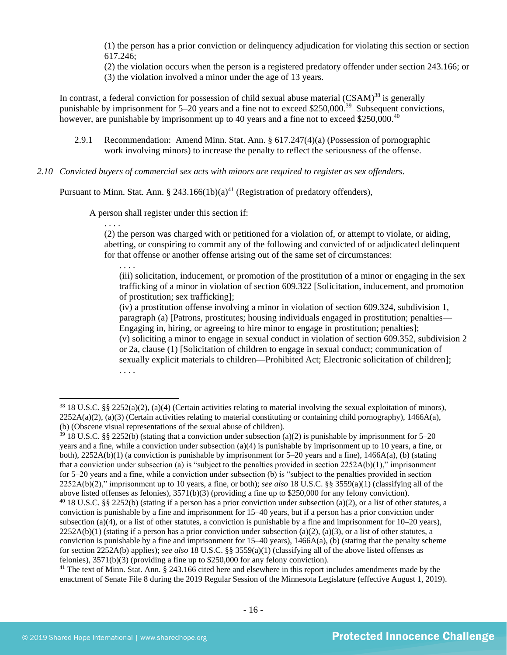(1) the person has a prior conviction or delinquency adjudication for violating this section or section 617.246;

(2) the violation occurs when the person is a registered predatory offender under section 243.166; or

(3) the violation involved a minor under the age of 13 years.

In contrast, a federal conviction for possession of child sexual abuse material (CSAM)<sup>38</sup> is generally punishable by imprisonment for  $5-20$  years and a fine not to exceed \$250,000.<sup>39</sup> Subsequent convictions, however, are punishable by imprisonment up to 40 years and a fine not to exceed \$250,000.<sup>40</sup>

- 2.9.1 Recommendation: Amend Minn. Stat. Ann. § 617.247(4)(a) (Possession of pornographic work involving minors) to increase the penalty to reflect the seriousness of the offense.
- *2.10 Convicted buyers of commercial sex acts with minors are required to register as sex offenders*.

Pursuant to Minn. Stat. Ann. § 243.166(1b)(a)<sup>41</sup> (Registration of predatory offenders),

A person shall register under this section if:

<span id="page-15-0"></span>. . . .

(2) the person was charged with or petitioned for a violation of, or attempt to violate, or aiding, abetting, or conspiring to commit any of the following and convicted of or adjudicated delinquent for that offense or another offense arising out of the same set of circumstances:

. . . . (iii) solicitation, inducement, or promotion of the prostitution of a minor or engaging in the sex trafficking of a minor in violation of section 609.322 [Solicitation, inducement, and promotion of prostitution; sex trafficking];

(iv) a prostitution offense involving a minor in violation of section 609.324, subdivision 1, paragraph (a) [Patrons, prostitutes; housing individuals engaged in prostitution; penalties— Engaging in, hiring, or agreeing to hire minor to engage in prostitution; penalties]; (v) soliciting a minor to engage in sexual conduct in violation of section 609.352, subdivision 2 or 2a, clause (1) [Solicitation of children to engage in sexual conduct; communication of sexually explicit materials to children—Prohibited Act; Electronic solicitation of children]; . . . .

 $41$  The text of Minn. Stat. Ann. § 243.166 cited here and elsewhere in this report includes amendments made by the enactment of Senate File 8 during the 2019 Regular Session of the Minnesota Legislature (effective August 1, 2019).

<sup>38</sup> 18 U.S.C. §§ 2252(a)(2), (a)(4) (Certain activities relating to material involving the sexual exploitation of minors),  $2252A(a)(2)$ , (a)(3) (Certain activities relating to material constituting or containing child pornography), 1466A(a), (b) (Obscene visual representations of the sexual abuse of children).

<sup>&</sup>lt;sup>39</sup> 18 U.S.C. §§ 2252(b) (stating that a conviction under subsection (a)(2) is punishable by imprisonment for 5–20 years and a fine, while a conviction under subsection (a)(4) is punishable by imprisonment up to 10 years, a fine, or both), 2252A(b)(1) (a conviction is punishable by imprisonment for 5–20 years and a fine), 1466A(a), (b) (stating that a conviction under subsection (a) is "subject to the penalties provided in section  $2252A(b)(1)$ ," imprisonment for 5–20 years and a fine, while a conviction under subsection (b) is "subject to the penalties provided in section 2252A(b)(2)," imprisonment up to 10 years, a fine, or both); *see also* 18 U.S.C. §§ 3559(a)(1) (classifying all of the above listed offenses as felonies), 3571(b)(3) (providing a fine up to \$250,000 for any felony conviction).  $40\,18$  U.S.C. §§ 2252(b) (stating if a person has a prior conviction under subsection (a)(2), or a list of other statutes, a conviction is punishable by a fine and imprisonment for 15–40 years, but if a person has a prior conviction under subsection (a)(4), or a list of other statutes, a conviction is punishable by a fine and imprisonment for  $10-20$  years),  $2252A(b)(1)$  (stating if a person has a prior conviction under subsection (a)(2), (a)(3), or a list of other statutes, a conviction is punishable by a fine and imprisonment for  $15-40$  years),  $1466A(a)$ , (b) (stating that the penalty scheme for section 2252A(b) applies); *see also* 18 U.S.C. §§ 3559(a)(1) (classifying all of the above listed offenses as felonies), 3571(b)(3) (providing a fine up to \$250,000 for any felony conviction).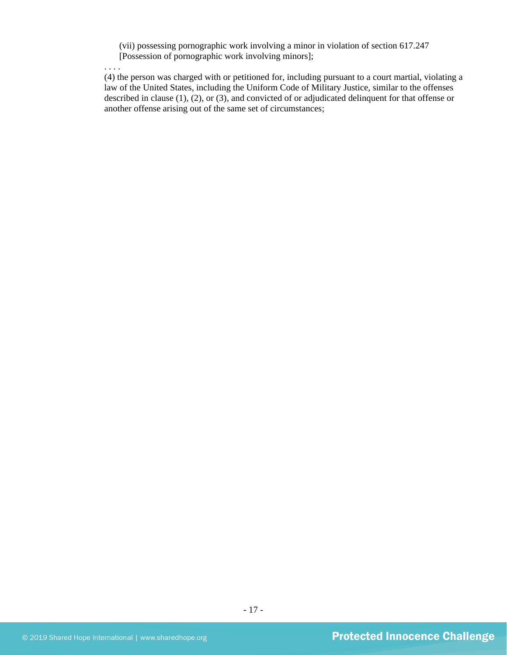(vii) possessing pornographic work involving a minor in violation of section 617.247 [Possession of pornographic work involving minors];

. . . .

(4) the person was charged with or petitioned for, including pursuant to a court martial, violating a law of the United States, including the Uniform Code of Military Justice, similar to the offenses described in clause (1), (2), or (3), and convicted of or adjudicated delinquent for that offense or another offense arising out of the same set of circumstances;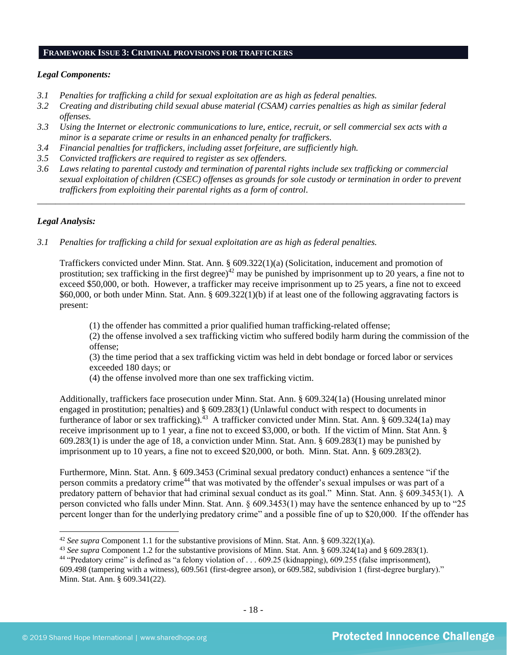# **FRAMEWORK ISSUE 3: CRIMINAL PROVISIONS FOR TRAFFICKERS**

#### *Legal Components:*

- *3.1 Penalties for trafficking a child for sexual exploitation are as high as federal penalties.*
- *3.2 Creating and distributing child sexual abuse material (CSAM) carries penalties as high as similar federal offenses.*
- *3.3 Using the Internet or electronic communications to lure, entice, recruit, or sell commercial sex acts with a minor is a separate crime or results in an enhanced penalty for traffickers.*
- *3.4 Financial penalties for traffickers, including asset forfeiture, are sufficiently high.*
- *3.5 Convicted traffickers are required to register as sex offenders.*
- *3.6 Laws relating to parental custody and termination of parental rights include sex trafficking or commercial sexual exploitation of children (CSEC) offenses as grounds for sole custody or termination in order to prevent traffickers from exploiting their parental rights as a form of control.*

*\_\_\_\_\_\_\_\_\_\_\_\_\_\_\_\_\_\_\_\_\_\_\_\_\_\_\_\_\_\_\_\_\_\_\_\_\_\_\_\_\_\_\_\_\_\_\_\_\_\_\_\_\_\_\_\_\_\_\_\_\_\_\_\_\_\_\_\_\_\_\_\_\_\_\_\_\_\_\_\_\_\_\_\_\_\_\_\_\_\_\_\_\_\_*

# *Legal Analysis:*

*3.1 Penalties for trafficking a child for sexual exploitation are as high as federal penalties.* 

Traffickers convicted under Minn. Stat. Ann. § 609.322(1)(a) (Solicitation, inducement and promotion of prostitution; sex trafficking in the first degree)<sup>42</sup> may be punished by imprisonment up to 20 years, a fine not to exceed \$50,000, or both. However, a trafficker may receive imprisonment up to 25 years, a fine not to exceed \$60,000, or both under Minn. Stat. Ann. § 609.322(1)(b) if at least one of the following aggravating factors is present:

(1) the offender has committed a prior qualified human trafficking-related offense;

(2) the offense involved a sex trafficking victim who suffered bodily harm during the commission of the offense;

(3) the time period that a sex trafficking victim was held in debt bondage or forced labor or services exceeded 180 days; or

(4) the offense involved more than one sex trafficking victim.

Additionally, traffickers face prosecution under Minn. Stat. Ann. § 609.324(1a) (Housing unrelated minor engaged in prostitution; penalties) and § 609.283(1) (Unlawful conduct with respect to documents in furtherance of labor or sex trafficking).<sup>43</sup> A trafficker convicted under Minn. Stat. Ann. § 609.324(1a) may receive imprisonment up to 1 year, a fine not to exceed \$3,000, or both. If the victim of Minn. Stat Ann. § 609.283(1) is under the age of 18, a conviction under Minn. Stat. Ann. § 609.283(1) may be punished by imprisonment up to 10 years, a fine not to exceed \$20,000, or both. Minn. Stat. Ann. § 609.283(2).

Furthermore, Minn. Stat. Ann. § 609.3453 (Criminal sexual predatory conduct) enhances a sentence "if the person commits a predatory crime<sup>44</sup> that was motivated by the offender's sexual impulses or was part of a predatory pattern of behavior that had criminal sexual conduct as its goal." Minn. Stat. Ann. § 609.3453(1). A person convicted who falls under Minn. Stat. Ann. § 609.3453(1) may have the sentence enhanced by up to "25 percent longer than for the underlying predatory crime" and a possible fine of up to \$20,000. If the offender has

<sup>42</sup> *See supra* Component 1.1 for the substantive provisions of Minn. Stat. Ann. § 609.322(1)(a).

<sup>43</sup> *See supra* Component 1.2 for the substantive provisions of Minn. Stat. Ann. § 609.324(1a) and § 609.283(1).

<sup>&</sup>lt;sup>44</sup> "Predatory crime" is defined as "a felony violation of . . . 609.25 (kidnapping), 609.255 (false imprisonment),

<sup>609.498 (</sup>tampering with a witness), 609.561 (first-degree arson), or 609.582, subdivision 1 (first-degree burglary)." Minn. Stat. Ann. § 609.341(22).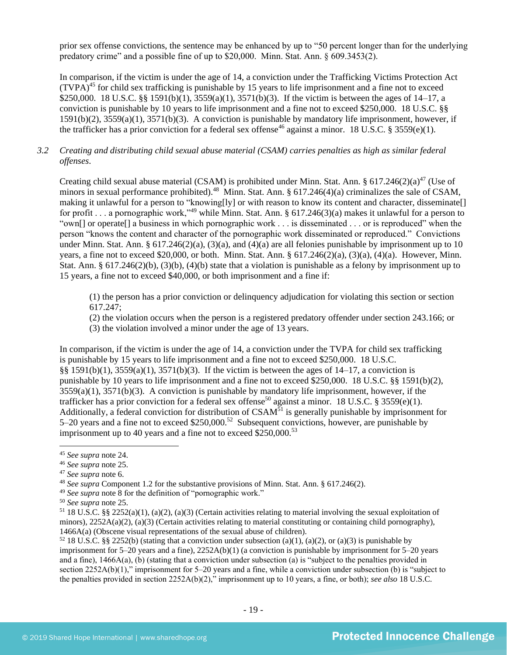prior sex offense convictions, the sentence may be enhanced by up to "50 percent longer than for the underlying predatory crime" and a possible fine of up to \$20,000. Minn. Stat. Ann. § 609.3453(2).

In comparison, if the victim is under the age of 14, a conviction under the Trafficking Victims Protection Act  $(TVPA)^{45}$  for child sex trafficking is punishable by 15 years to life imprisonment and a fine not to exceed \$250,000. 18 U.S.C. §§ 1591(b)(1), 3559(a)(1), 3571(b)(3). If the victim is between the ages of 14–17, a conviction is punishable by 10 years to life imprisonment and a fine not to exceed \$250,000. 18 U.S.C. §§ 1591(b)(2), 3559(a)(1), 3571(b)(3). A conviction is punishable by mandatory life imprisonment, however, if the trafficker has a prior conviction for a federal sex offense<sup>46</sup> against a minor. 18 U.S.C. § 3559(e)(1).

# *3.2 Creating and distributing child sexual abuse material (CSAM) carries penalties as high as similar federal offenses*.

Creating child sexual abuse material (CSAM) is prohibited under Minn. Stat. Ann. §  $617.246(2)(a)^{47}$  (Use of minors in sexual performance prohibited).<sup>48</sup> Minn. Stat. Ann. § 617.246(4)(a) criminalizes the sale of CSAM, making it unlawful for a person to "knowing[ly] or with reason to know its content and character, disseminate[] for profit . . . a pornographic work,"<sup>49</sup> while Minn. Stat. Ann. § 617.246(3)(a) makes it unlawful for a person to "own[] or operate[] a business in which pornographic work . . . is disseminated . . . or is reproduced" when the person "knows the content and character of the pornographic work disseminated or reproduced." Convictions under Minn. Stat. Ann. §  $617.246(2)(a)$ ,  $(3)(a)$ , and  $(4)(a)$  are all felonies punishable by imprisonment up to 10 years, a fine not to exceed \$20,000, or both. Minn. Stat. Ann. § 617.246(2)(a), (3)(a), (4)(a). However, Minn. Stat. Ann. §  $617.246(2)(b)$ ,  $(3)(b)$ ,  $(4)(b)$  state that a violation is punishable as a felony by imprisonment up to 15 years, a fine not to exceed \$40,000, or both imprisonment and a fine if:

(1) the person has a prior conviction or delinquency adjudication for violating this section or section 617.247;

(2) the violation occurs when the person is a registered predatory offender under section 243.166; or

(3) the violation involved a minor under the age of 13 years.

In comparison, if the victim is under the age of 14, a conviction under the TVPA for child sex trafficking is punishable by 15 years to life imprisonment and a fine not to exceed \$250,000. 18 U.S.C. §§ 1591(b)(1),  $3559(a)(1)$ ,  $3571(b)(3)$ . If the victim is between the ages of 14–17, a conviction is punishable by 10 years to life imprisonment and a fine not to exceed \$250,000. 18 U.S.C. §§ 1591(b)(2), 3559(a)(1), 3571(b)(3). A conviction is punishable by mandatory life imprisonment, however, if the trafficker has a prior conviction for a federal sex offense<sup>50</sup> against a minor. 18 U.S.C. § 3559(e)(1). Additionally, a federal conviction for distribution of  $CSAM<sup>51</sup>$  is generally punishable by imprisonment for 5–20 years and a fine not to exceed \$250,000.<sup>52</sup> Subsequent convictions, however, are punishable by imprisonment up to 40 years and a fine not to exceed  $$250,000.<sup>53</sup>$ 

<sup>45</sup> *See supra* note [24.](#page-11-0)

<sup>46</sup> *See supra* note [25.](#page-11-1) 

<sup>47</sup> *See supra* note [6.](#page-3-2)

<sup>48</sup> *See supra* Component 1.2 for the substantive provisions of Minn. Stat. Ann. § 617.246(2).

<sup>&</sup>lt;sup>49</sup> See supra note [8](#page-3-1) for the definition of "pornographic work."

<sup>50</sup> *See supra* note [25.](#page-11-1)

 $51$  18 U.S.C. §§ 2252(a)(1), (a)(2), (a)(3) (Certain activities relating to material involving the sexual exploitation of minors),  $2252A(a)(2)$ , (a)(3) (Certain activities relating to material constituting or containing child pornography), 1466A(a) (Obscene visual representations of the sexual abuse of children).

 $52$  18 U.S.C. §§ 2252(b) (stating that a conviction under subsection (a)(1), (a)(2), or (a)(3) is punishable by imprisonment for 5–20 years and a fine), 2252A(b)(1) (a conviction is punishable by imprisonment for 5–20 years and a fine), 1466A(a), (b) (stating that a conviction under subsection (a) is "subject to the penalties provided in section 2252A(b)(1)," imprisonment for 5–20 years and a fine, while a conviction under subsection (b) is "subject to the penalties provided in section 2252A(b)(2)," imprisonment up to 10 years, a fine, or both); *see also* 18 U.S.C.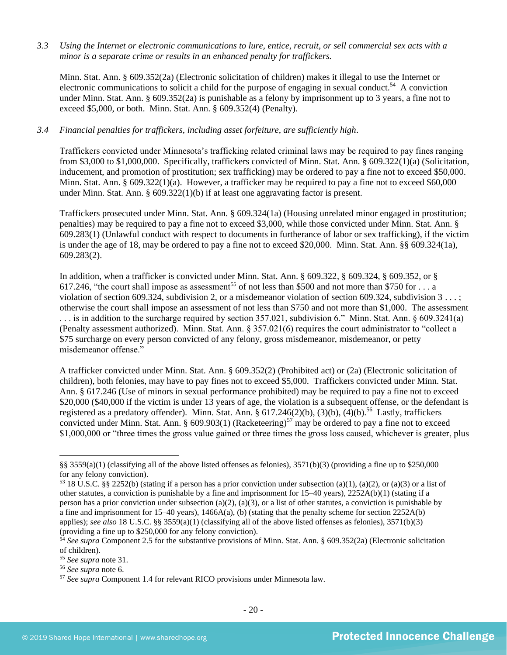*3.3 Using the Internet or electronic communications to lure, entice, recruit, or sell commercial sex acts with a minor is a separate crime or results in an enhanced penalty for traffickers.*

Minn. Stat. Ann. § 609.352(2a) (Electronic solicitation of children) makes it illegal to use the Internet or electronic communications to solicit a child for the purpose of engaging in sexual conduct.<sup>54</sup> A conviction under Minn. Stat. Ann. § 609.352(2a) is punishable as a felony by imprisonment up to 3 years, a fine not to exceed \$5,000, or both. Minn. Stat. Ann. § 609.352(4) (Penalty).

#### *3.4 Financial penalties for traffickers, including asset forfeiture, are sufficiently high*.

Traffickers convicted under Minnesota's trafficking related criminal laws may be required to pay fines ranging from \$3,000 to \$1,000,000. Specifically, traffickers convicted of Minn. Stat. Ann. § 609.322(1)(a) (Solicitation, inducement, and promotion of prostitution; sex trafficking) may be ordered to pay a fine not to exceed \$50,000. Minn. Stat. Ann. §  $609.322(1)(a)$ . However, a trafficker may be required to pay a fine not to exceed \$60,000 under Minn. Stat. Ann. § 609.322(1)(b) if at least one aggravating factor is present.

Traffickers prosecuted under Minn. Stat. Ann. § 609.324(1a) (Housing unrelated minor engaged in prostitution; penalties) may be required to pay a fine not to exceed \$3,000, while those convicted under Minn. Stat. Ann. § 609.283(1) (Unlawful conduct with respect to documents in furtherance of labor or sex trafficking), if the victim is under the age of 18, may be ordered to pay a fine not to exceed \$20,000. Minn. Stat. Ann. §§ 609.324(1a), 609.283(2).

In addition, when a trafficker is convicted under Minn. Stat. Ann. § 609.322, § 609.324, § 609.352, or § 617.246, "the court shall impose as assessment<sup>55</sup> of not less than \$500 and not more than \$750 for . . . a violation of section 609.324, subdivision 2, or a misdemeanor violation of section 609.324, subdivision 3 . . . ; otherwise the court shall impose an assessment of not less than \$750 and not more than \$1,000. The assessment . . . is in addition to the surcharge required by section 357.021, subdivision 6." Minn. Stat. Ann. § 609.3241(a) (Penalty assessment authorized). Minn. Stat. Ann. § 357.021(6) requires the court administrator to "collect a \$75 surcharge on every person convicted of any felony, gross misdemeanor, misdemeanor, or petty misdemeanor offense."

A trafficker convicted under Minn. Stat. Ann. § 609.352(2) (Prohibited act) or (2a) (Electronic solicitation of children), both felonies, may have to pay fines not to exceed \$5,000. Traffickers convicted under Minn. Stat. Ann. § 617.246 (Use of minors in sexual performance prohibited) may be required to pay a fine not to exceed \$20,000 (\$40,000 if the victim is under 13 years of age, the violation is a subsequent offense, or the defendant is registered as a predatory offender). Minn. Stat. Ann. § 617.246(2)(b), (3)(b), (4)(b).<sup>56</sup> Lastly, traffickers convicted under Minn. Stat. Ann. § 609.903(1) (Racketeering)<sup>57</sup> may be ordered to pay a fine not to exceed \$1,000,000 or "three times the gross value gained or three times the gross loss caused, whichever is greater, plus

<sup>§§ 3559(</sup>a)(1) (classifying all of the above listed offenses as felonies),  $3571(b)(3)$  (providing a fine up to \$250,000 for any felony conviction).

 $53$  18 U.S.C. §§ 2252(b) (stating if a person has a prior conviction under subsection (a)(1), (a)(2), or (a)(3) or a list of other statutes, a conviction is punishable by a fine and imprisonment for 15–40 years), 2252A(b)(1) (stating if a person has a prior conviction under subsection (a)(2), (a)(3), or a list of other statutes, a conviction is punishable by a fine and imprisonment for 15–40 years), 1466A(a), (b) (stating that the penalty scheme for section 2252A(b) applies); *see also* 18 U.S.C. §§ 3559(a)(1) (classifying all of the above listed offenses as felonies), 3571(b)(3) (providing a fine up to \$250,000 for any felony conviction).

<sup>54</sup> *See supra* Component 2.5 for the substantive provisions of Minn. Stat. Ann. § 609.352(2a) (Electronic solicitation of children).

<sup>55</sup> *See supra* note [31.](#page-12-0)

<sup>56</sup> *See supra* note [6.](#page-3-2)

<sup>57</sup> *See supra* Component 1.4 for relevant RICO provisions under Minnesota law.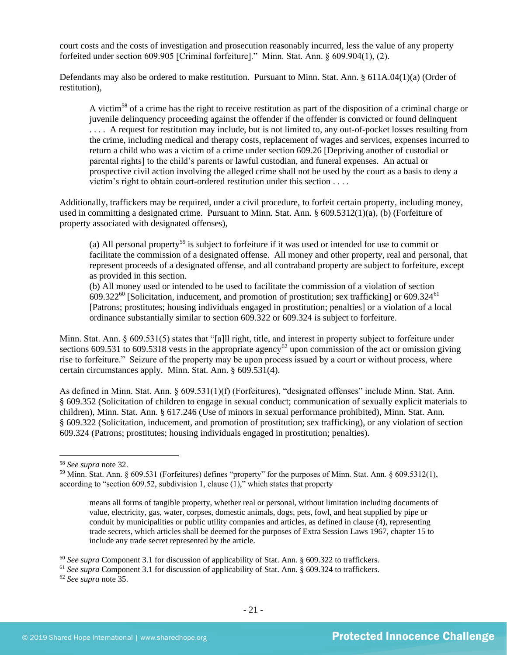court costs and the costs of investigation and prosecution reasonably incurred, less the value of any property forfeited under section 609.905 [Criminal forfeiture]." Minn. Stat. Ann. § 609.904(1), (2).

Defendants may also be ordered to make restitution. Pursuant to Minn. Stat. Ann. § 611A.04(1)(a) (Order of restitution),

A victim<sup>58</sup> of a crime has the right to receive restitution as part of the disposition of a criminal charge or juvenile delinquency proceeding against the offender if the offender is convicted or found delinquent . . . . A request for restitution may include, but is not limited to, any out-of-pocket losses resulting from the crime, including medical and therapy costs, replacement of wages and services, expenses incurred to return a child who was a victim of a crime under section 609.26 [Depriving another of custodial or parental rights] to the child's parents or lawful custodian, and funeral expenses. An actual or prospective civil action involving the alleged crime shall not be used by the court as a basis to deny a victim's right to obtain court-ordered restitution under this section . . . .

Additionally, traffickers may be required, under a civil procedure, to forfeit certain property, including money, used in committing a designated crime. Pursuant to Minn. Stat. Ann. § 609.5312(1)(a), (b) (Forfeiture of property associated with designated offenses),

(a) All personal property<sup>59</sup> is subject to forfeiture if it was used or intended for use to commit or facilitate the commission of a designated offense. All money and other property, real and personal, that represent proceeds of a designated offense, and all contraband property are subject to forfeiture, except as provided in this section.

(b) All money used or intended to be used to facilitate the commission of a violation of section  $609.322^{60}$  [Solicitation, inducement, and promotion of prostitution; sex trafficking] or  $609.324^{61}$ [Patrons; prostitutes; housing individuals engaged in prostitution; penalties] or a violation of a local ordinance substantially similar to section 609.322 or 609.324 is subject to forfeiture.

Minn. Stat. Ann. § 609.531(5) states that "[a]ll right, title, and interest in property subject to forfeiture under sections 609.531 to 609.5318 vests in the appropriate agency<sup>62</sup> upon commission of the act or omission giving rise to forfeiture." Seizure of the property may be upon process issued by a court or without process, where certain circumstances apply. Minn. Stat. Ann. § 609.531(4).

As defined in Minn. Stat. Ann. § 609.531(1)(f) (Forfeitures), "designated offenses" include Minn. Stat. Ann. § 609.352 (Solicitation of children to engage in sexual conduct; communication of sexually explicit materials to children), Minn. Stat. Ann. § 617.246 (Use of minors in sexual performance prohibited), Minn. Stat. Ann. § 609.322 (Solicitation, inducement, and promotion of prostitution; sex trafficking), or any violation of section 609.324 (Patrons; prostitutes; housing individuals engaged in prostitution; penalties).

<sup>58</sup> *See supra* note [32.](#page-13-0)

<sup>59</sup> Minn. Stat. Ann. § 609.531 (Forfeitures) defines "property" for the purposes of Minn. Stat. Ann. § 609.5312(1), according to "section 609.52, subdivision 1, clause  $(1)$ ," which states that property

means all forms of tangible property, whether real or personal, without limitation including documents of value, electricity, gas, water, corpses, domestic animals, dogs, pets, fowl, and heat supplied by pipe or conduit by municipalities or public utility companies and articles, as defined in clause (4), representing trade secrets, which articles shall be deemed for the purposes of Extra Session Laws 1967, chapter 15 to include any trade secret represented by the article.

<sup>60</sup> *See supra* Component 3.1 for discussion of applicability of Stat. Ann. § 609.322 to traffickers.

<sup>61</sup> *See supra* Component 3.1 for discussion of applicability of Stat. Ann. § 609.324 to traffickers.

<sup>62</sup> *See supra* note [35.](#page-14-0)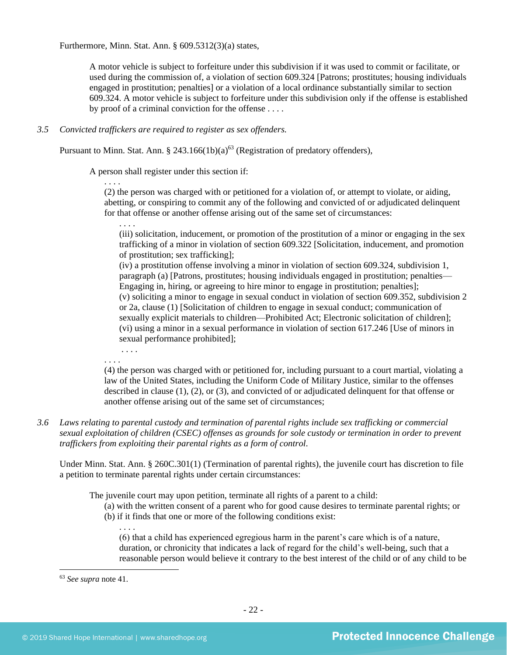Furthermore, Minn. Stat. Ann. § 609.5312(3)(a) states,

A motor vehicle is subject to forfeiture under this subdivision if it was used to commit or facilitate, or used during the commission of, a violation of section 609.324 [Patrons; prostitutes; housing individuals engaged in prostitution; penalties] or a violation of a local ordinance substantially similar to section 609.324. A motor vehicle is subject to forfeiture under this subdivision only if the offense is established by proof of a criminal conviction for the offense . . . .

#### *3.5 Convicted traffickers are required to register as sex offenders.*

Pursuant to Minn. Stat. Ann. § 243.166(1b)(a)<sup>63</sup> (Registration of predatory offenders),

A person shall register under this section if:

(2) the person was charged with or petitioned for a violation of, or attempt to violate, or aiding, abetting, or conspiring to commit any of the following and convicted of or adjudicated delinquent for that offense or another offense arising out of the same set of circumstances:

. . . . (iii) solicitation, inducement, or promotion of the prostitution of a minor or engaging in the sex trafficking of a minor in violation of section 609.322 [Solicitation, inducement, and promotion of prostitution; sex trafficking];

(iv) a prostitution offense involving a minor in violation of section 609.324, subdivision 1, paragraph (a) [Patrons, prostitutes; housing individuals engaged in prostitution; penalties— Engaging in, hiring, or agreeing to hire minor to engage in prostitution; penalties]; (v) soliciting a minor to engage in sexual conduct in violation of section 609.352, subdivision 2 or 2a, clause (1) [Solicitation of children to engage in sexual conduct; communication of sexually explicit materials to children—Prohibited Act; Electronic solicitation of children]; (vi) using a minor in a sexual performance in violation of section 617.246 [Use of minors in sexual performance prohibited];

. . . . . . . .

. . . .

(4) the person was charged with or petitioned for, including pursuant to a court martial, violating a law of the United States, including the Uniform Code of Military Justice, similar to the offenses described in clause (1), (2), or (3), and convicted of or adjudicated delinquent for that offense or another offense arising out of the same set of circumstances;

*3.6 Laws relating to parental custody and termination of parental rights include sex trafficking or commercial sexual exploitation of children (CSEC) offenses as grounds for sole custody or termination in order to prevent traffickers from exploiting their parental rights as a form of control.* 

Under Minn. Stat. Ann. § 260C.301(1) (Termination of parental rights), the juvenile court has discretion to file a petition to terminate parental rights under certain circumstances:

The juvenile court may upon petition, terminate all rights of a parent to a child:

- (a) with the written consent of a parent who for good cause desires to terminate parental rights; or (b) if it finds that one or more of the following conditions exist:
	- . . . .

(6) that a child has experienced egregious harm in the parent's care which is of a nature, duration, or chronicity that indicates a lack of regard for the child's well-being, such that a reasonable person would believe it contrary to the best interest of the child or of any child to be

<sup>63</sup> *See supra* note [41.](#page-15-0)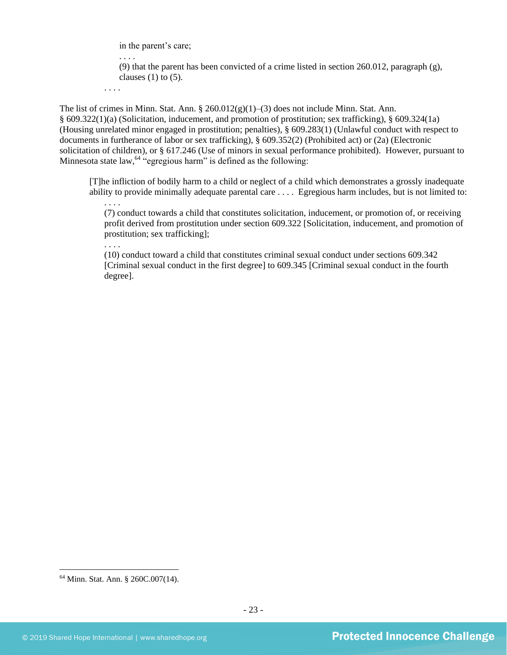in the parent's care;

. . . .

(9) that the parent has been convicted of a crime listed in section 260.012, paragraph  $(g)$ , clauses  $(1)$  to  $(5)$ .

. . . .

The list of crimes in Minn. Stat. Ann. § 260.012(g)(1)–(3) does not include Minn. Stat. Ann. § 609.322(1)(a) (Solicitation, inducement, and promotion of prostitution; sex trafficking), § 609.324(1a) (Housing unrelated minor engaged in prostitution; penalties), § 609.283(1) (Unlawful conduct with respect to documents in furtherance of labor or sex trafficking), § 609.352(2) (Prohibited act) or (2a) (Electronic solicitation of children), or § 617.246 (Use of minors in sexual performance prohibited). However, pursuant to Minnesota state law,  $64$  "egregious harm" is defined as the following:

[T]he infliction of bodily harm to a child or neglect of a child which demonstrates a grossly inadequate ability to provide minimally adequate parental care . . . . Egregious harm includes, but is not limited to:

. . . . (7) conduct towards a child that constitutes solicitation, inducement, or promotion of, or receiving profit derived from prostitution under section 609.322 [Solicitation, inducement, and promotion of prostitution; sex trafficking];

. . . .

(10) conduct toward a child that constitutes criminal sexual conduct under sections 609.342 [Criminal sexual conduct in the first degree] to 609.345 [Criminal sexual conduct in the fourth degree].

<sup>64</sup> Minn. Stat. Ann. § 260C.007(14).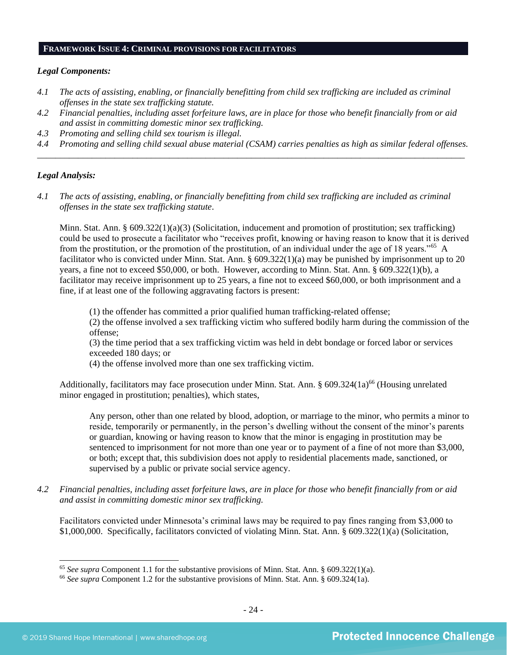#### **FRAMEWORK ISSUE 4: CRIMINAL PROVISIONS FOR FACILITATORS**

# *Legal Components:*

- *4.1 The acts of assisting, enabling, or financially benefitting from child sex trafficking are included as criminal offenses in the state sex trafficking statute.*
- *4.2 Financial penalties, including asset forfeiture laws, are in place for those who benefit financially from or aid and assist in committing domestic minor sex trafficking.*
- *4.3 Promoting and selling child sex tourism is illegal.*
- *4.4 Promoting and selling child sexual abuse material (CSAM) carries penalties as high as similar federal offenses. \_\_\_\_\_\_\_\_\_\_\_\_\_\_\_\_\_\_\_\_\_\_\_\_\_\_\_\_\_\_\_\_\_\_\_\_\_\_\_\_\_\_\_\_\_\_\_\_\_\_\_\_\_\_\_\_\_\_\_\_\_\_\_\_\_\_\_\_\_\_\_\_\_\_\_\_\_\_\_\_\_\_\_\_\_\_\_\_\_\_\_\_\_\_*

# *Legal Analysis:*

*4.1 The acts of assisting, enabling, or financially benefitting from child sex trafficking are included as criminal offenses in the state sex trafficking statute*.

Minn. Stat. Ann. § 609.322(1)(a)(3) (Solicitation, inducement and promotion of prostitution; sex trafficking) could be used to prosecute a facilitator who "receives profit, knowing or having reason to know that it is derived from the prostitution, or the promotion of the prostitution, of an individual under the age of 18 years."<sup>65</sup> A facilitator who is convicted under Minn. Stat. Ann. § 609.322(1)(a) may be punished by imprisonment up to 20 years, a fine not to exceed \$50,000, or both. However, according to Minn. Stat. Ann. § 609.322(1)(b), a facilitator may receive imprisonment up to 25 years, a fine not to exceed \$60,000, or both imprisonment and a fine, if at least one of the following aggravating factors is present:

(1) the offender has committed a prior qualified human trafficking-related offense;

(2) the offense involved a sex trafficking victim who suffered bodily harm during the commission of the offense;

(3) the time period that a sex trafficking victim was held in debt bondage or forced labor or services exceeded 180 days; or

(4) the offense involved more than one sex trafficking victim.

Additionally, facilitators may face prosecution under Minn. Stat. Ann. § 609.324(1a)<sup>66</sup> (Housing unrelated minor engaged in prostitution; penalties), which states,

Any person, other than one related by blood, adoption, or marriage to the minor, who permits a minor to reside, temporarily or permanently, in the person's dwelling without the consent of the minor's parents or guardian, knowing or having reason to know that the minor is engaging in prostitution may be sentenced to imprisonment for not more than one year or to payment of a fine of not more than \$3,000, or both; except that, this subdivision does not apply to residential placements made, sanctioned, or supervised by a public or private social service agency.

*4.2 Financial penalties, including asset forfeiture laws, are in place for those who benefit financially from or aid and assist in committing domestic minor sex trafficking.*

Facilitators convicted under Minnesota's criminal laws may be required to pay fines ranging from \$3,000 to \$1,000,000. Specifically, facilitators convicted of violating Minn. Stat. Ann. § 609.322(1)(a) (Solicitation,

<sup>65</sup> *See supra* Component 1.1 for the substantive provisions of Minn. Stat. Ann. § 609.322(1)(a).

<sup>66</sup> *See supra* Component 1.2 for the substantive provisions of Minn. Stat. Ann. § 609.324(1a).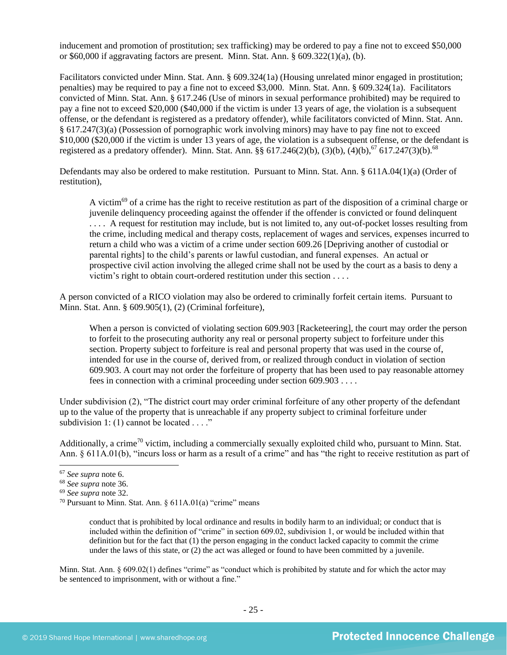inducement and promotion of prostitution; sex trafficking) may be ordered to pay a fine not to exceed \$50,000 or \$60,000 if aggravating factors are present. Minn. Stat. Ann. § 609.322(1)(a), (b).

Facilitators convicted under Minn. Stat. Ann. § 609.324(1a) (Housing unrelated minor engaged in prostitution; penalties) may be required to pay a fine not to exceed \$3,000. Minn. Stat. Ann. § 609.324(1a). Facilitators convicted of Minn. Stat. Ann. § 617.246 (Use of minors in sexual performance prohibited) may be required to pay a fine not to exceed \$20,000 (\$40,000 if the victim is under 13 years of age, the violation is a subsequent offense, or the defendant is registered as a predatory offender), while facilitators convicted of Minn. Stat. Ann. § 617.247(3)(a) (Possession of pornographic work involving minors) may have to pay fine not to exceed \$10,000 (\$20,000 if the victim is under 13 years of age, the violation is a subsequent offense, or the defendant is registered as a predatory offender). Minn. Stat. Ann. §§ 617.246(2)(b), (3)(b), (4)(b),<sup>67</sup> 617.247(3)(b).<sup>68</sup>

Defendants may also be ordered to make restitution. Pursuant to Minn. Stat. Ann. § 611A.04(1)(a) (Order of restitution),

A victim<sup>69</sup> of a crime has the right to receive restitution as part of the disposition of a criminal charge or juvenile delinquency proceeding against the offender if the offender is convicted or found delinquent . . . . A request for restitution may include, but is not limited to, any out-of-pocket losses resulting from the crime, including medical and therapy costs, replacement of wages and services, expenses incurred to return a child who was a victim of a crime under section 609.26 [Depriving another of custodial or parental rights] to the child's parents or lawful custodian, and funeral expenses. An actual or prospective civil action involving the alleged crime shall not be used by the court as a basis to deny a victim's right to obtain court-ordered restitution under this section . . . .

A person convicted of a RICO violation may also be ordered to criminally forfeit certain items. Pursuant to Minn. Stat. Ann. § 609.905(1), (2) (Criminal forfeiture),

When a person is convicted of violating section 609.903 [Racketeering], the court may order the person to forfeit to the prosecuting authority any real or personal property subject to forfeiture under this section. Property subject to forfeiture is real and personal property that was used in the course of, intended for use in the course of, derived from, or realized through conduct in violation of section 609.903. A court may not order the forfeiture of property that has been used to pay reasonable attorney fees in connection with a criminal proceeding under section 609.903 . . . .

Under subdivision (2), "The district court may order criminal forfeiture of any other property of the defendant up to the value of the property that is unreachable if any property subject to criminal forfeiture under subdivision 1: (1) cannot be located  $\dots$ ."

Additionally, a crime<sup>70</sup> victim, including a commercially sexually exploited child who, pursuant to Minn. Stat. Ann. § 611A.01(b), "incurs loss or harm as a result of a crime" and has "the right to receive restitution as part of

conduct that is prohibited by local ordinance and results in bodily harm to an individual; or conduct that is included within the definition of "crime" in section 609.02, subdivision 1, or would be included within that definition but for the fact that (1) the person engaging in the conduct lacked capacity to commit the crime under the laws of this state, or (2) the act was alleged or found to have been committed by a juvenile.

Minn. Stat. Ann. § 609.02(1) defines "crime" as "conduct which is prohibited by statute and for which the actor may be sentenced to imprisonment, with or without a fine."

<sup>67</sup> *See supra* note [6.](#page-3-2)

<sup>68</sup> *See supra* note [36.](#page-14-1)

<sup>69</sup> *See supra* note [32.](#page-13-0)

<sup>&</sup>lt;sup>70</sup> Pursuant to Minn. Stat. Ann.  $§ 611A.01(a)$  "crime" means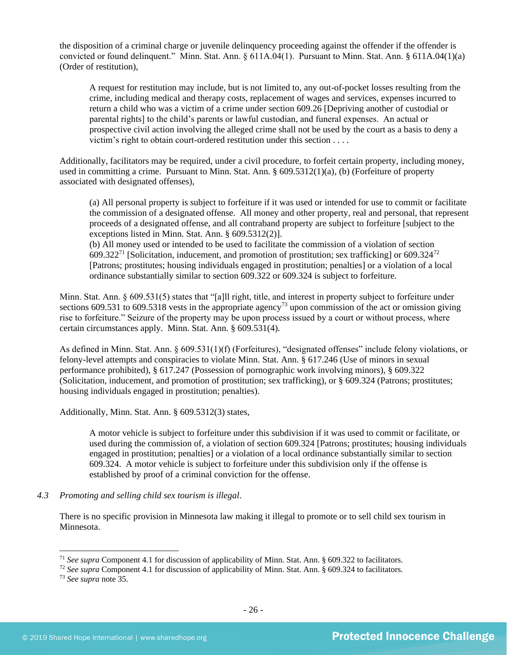the disposition of a criminal charge or juvenile delinquency proceeding against the offender if the offender is convicted or found delinquent." Minn. Stat. Ann. § 611A.04(1). Pursuant to Minn. Stat. Ann. § 611A.04(1)(a) (Order of restitution),

A request for restitution may include, but is not limited to, any out-of-pocket losses resulting from the crime, including medical and therapy costs, replacement of wages and services, expenses incurred to return a child who was a victim of a crime under section 609.26 [Depriving another of custodial or parental rights] to the child's parents or lawful custodian, and funeral expenses. An actual or prospective civil action involving the alleged crime shall not be used by the court as a basis to deny a victim's right to obtain court-ordered restitution under this section . . . .

Additionally, facilitators may be required, under a civil procedure, to forfeit certain property, including money, used in committing a crime. Pursuant to Minn. Stat. Ann. § 609.5312(1)(a), (b) (Forfeiture of property associated with designated offenses),

(a) All personal property is subject to forfeiture if it was used or intended for use to commit or facilitate the commission of a designated offense. All money and other property, real and personal, that represent proceeds of a designated offense, and all contraband property are subject to forfeiture [subject to the exceptions listed in Minn. Stat. Ann. § 609.5312(2)].

(b) All money used or intended to be used to facilitate the commission of a violation of section  $609.322<sup>71</sup>$  [Solicitation, inducement, and promotion of prostitution; sex trafficking] or  $609.324<sup>72</sup>$ [Patrons; prostitutes; housing individuals engaged in prostitution; penalties] or a violation of a local ordinance substantially similar to section 609.322 or 609.324 is subject to forfeiture.

Minn. Stat. Ann. § 609.531(5) states that "[a]ll right, title, and interest in property subject to forfeiture under sections 609.531 to 609.5318 vests in the appropriate agency<sup>73</sup> upon commission of the act or omission giving rise to forfeiture." Seizure of the property may be upon process issued by a court or without process, where certain circumstances apply. Minn. Stat. Ann. § 609.531(4).

As defined in Minn. Stat. Ann. § 609.531(1)(f) (Forfeitures), "designated offenses" include felony violations, or felony-level attempts and conspiracies to violate Minn. Stat. Ann. § 617.246 (Use of minors in sexual performance prohibited), § 617.247 (Possession of pornographic work involving minors), § 609.322 (Solicitation, inducement, and promotion of prostitution; sex trafficking), or § 609.324 (Patrons; prostitutes; housing individuals engaged in prostitution; penalties).

Additionally, Minn. Stat. Ann. § 609.5312(3) states,

A motor vehicle is subject to forfeiture under this subdivision if it was used to commit or facilitate, or used during the commission of, a violation of section 609.324 [Patrons; prostitutes; housing individuals engaged in prostitution; penalties] or a violation of a local ordinance substantially similar to section 609.324. A motor vehicle is subject to forfeiture under this subdivision only if the offense is established by proof of a criminal conviction for the offense.

*4.3 Promoting and selling child sex tourism is illegal*.

There is no specific provision in Minnesota law making it illegal to promote or to sell child sex tourism in Minnesota.

<sup>71</sup> *See supra* Component 4.1 for discussion of applicability of Minn. Stat. Ann. § 609.322 to facilitators.

<sup>&</sup>lt;sup>72</sup> See supra Component 4.1 for discussion of applicability of Minn. Stat. Ann. § 609.324 to facilitators.

<sup>73</sup> *See supra* note [35.](#page-14-0)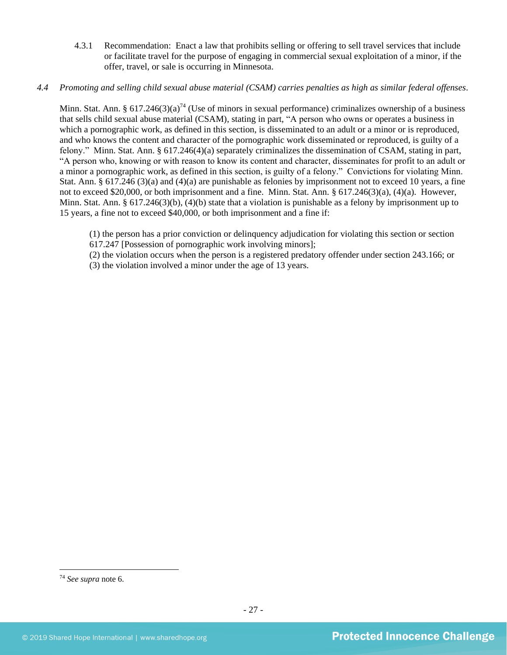4.3.1 Recommendation: Enact a law that prohibits selling or offering to sell travel services that include or facilitate travel for the purpose of engaging in commercial sexual exploitation of a minor, if the offer, travel, or sale is occurring in Minnesota.

# *4.4 Promoting and selling child sexual abuse material (CSAM) carries penalties as high as similar federal offenses*.

Minn. Stat. Ann. § 617.246(3)(a)<sup>74</sup> (Use of minors in sexual performance) criminalizes ownership of a business that sells child sexual abuse material (CSAM), stating in part, "A person who owns or operates a business in which a pornographic work, as defined in this section, is disseminated to an adult or a minor or is reproduced, and who knows the content and character of the pornographic work disseminated or reproduced, is guilty of a felony." Minn. Stat. Ann. § 617.246(4)(a) separately criminalizes the dissemination of CSAM, stating in part, "A person who, knowing or with reason to know its content and character, disseminates for profit to an adult or a minor a pornographic work, as defined in this section, is guilty of a felony." Convictions for violating Minn. Stat. Ann. § 617.246 (3)(a) and (4)(a) are punishable as felonies by imprisonment not to exceed 10 years, a fine not to exceed \$20,000, or both imprisonment and a fine. Minn. Stat. Ann. § 617.246(3)(a), (4)(a). However, Minn. Stat. Ann. § 617.246(3)(b), (4)(b) state that a violation is punishable as a felony by imprisonment up to 15 years, a fine not to exceed \$40,000, or both imprisonment and a fine if:

(1) the person has a prior conviction or delinquency adjudication for violating this section or section

617.247 [Possession of pornographic work involving minors];

(2) the violation occurs when the person is a registered predatory offender under section 243.166; or

(3) the violation involved a minor under the age of 13 years.

<sup>74</sup> *See supra* note [6.](#page-3-2)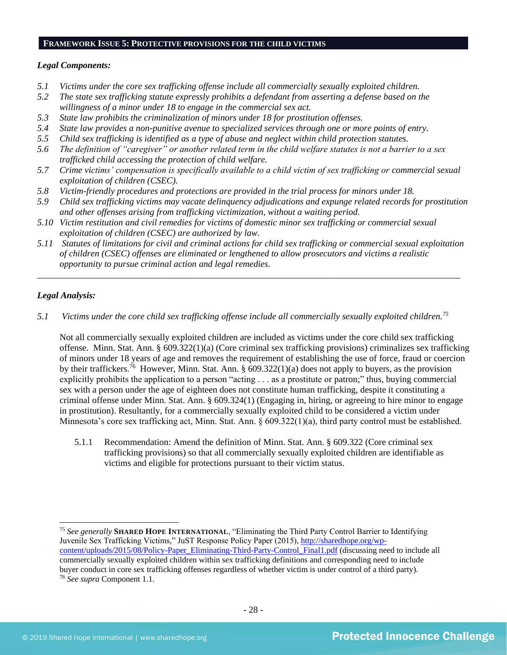#### **FRAMEWORK ISSUE 5: PROTECTIVE PROVISIONS FOR THE CHILD VICTIMS**

# *Legal Components:*

- *5.1 Victims under the core sex trafficking offense include all commercially sexually exploited children.*
- *5.2 The state sex trafficking statute expressly prohibits a defendant from asserting a defense based on the willingness of a minor under 18 to engage in the commercial sex act.*
- *5.3 State law prohibits the criminalization of minors under 18 for prostitution offenses.*
- *5.4 State law provides a non-punitive avenue to specialized services through one or more points of entry.*
- *5.5 Child sex trafficking is identified as a type of abuse and neglect within child protection statutes.*
- *5.6 The definition of "caregiver" or another related term in the child welfare statutes is not a barrier to a sex trafficked child accessing the protection of child welfare.*
- *5.7 Crime victims' compensation is specifically available to a child victim of sex trafficking or commercial sexual exploitation of children (CSEC).*
- *5.8 Victim-friendly procedures and protections are provided in the trial process for minors under 18.*
- *5.9 Child sex trafficking victims may vacate delinquency adjudications and expunge related records for prostitution and other offenses arising from trafficking victimization, without a waiting period.*
- *5.10 Victim restitution and civil remedies for victims of domestic minor sex trafficking or commercial sexual exploitation of children (CSEC) are authorized by law.*
- *5.11 Statutes of limitations for civil and criminal actions for child sex trafficking or commercial sexual exploitation of children (CSEC) offenses are eliminated or lengthened to allow prosecutors and victims a realistic opportunity to pursue criminal action and legal remedies.*

*\_\_\_\_\_\_\_\_\_\_\_\_\_\_\_\_\_\_\_\_\_\_\_\_\_\_\_\_\_\_\_\_\_\_\_\_\_\_\_\_\_\_\_\_\_\_\_\_\_\_\_\_\_\_\_\_\_\_\_\_\_\_\_\_\_\_\_\_\_\_\_\_\_\_\_\_\_\_\_\_\_\_\_\_\_\_\_\_\_\_\_\_\_*

# *Legal Analysis:*

*5.1 Victims under the core child sex trafficking offense include all commercially sexually exploited children.<sup>75</sup>*

Not all commercially sexually exploited children are included as victims under the core child sex trafficking offense. Minn. Stat. Ann. § 609.322(1)(a) (Core criminal sex trafficking provisions) criminalizes sex trafficking of minors under 18 years of age and removes the requirement of establishing the use of force, fraud or coercion by their traffickers.<sup>76</sup> However, Minn. Stat. Ann. § 609.322(1)(a) does not apply to buyers, as the provision explicitly prohibits the application to a person "acting . . . as a prostitute or patron;" thus, buying commercial sex with a person under the age of eighteen does not constitute human trafficking, despite it constituting a criminal offense under Minn. Stat. Ann. § 609.324(1) (Engaging in, hiring, or agreeing to hire minor to engage in prostitution). Resultantly, for a commercially sexually exploited child to be considered a victim under Minnesota's core sex trafficking act, Minn. Stat. Ann. § 609.322(1)(a), third party control must be established.

5.1.1 Recommendation: Amend the definition of Minn. Stat. Ann. § 609.322 (Core criminal sex trafficking provisions) so that all commercially sexually exploited children are identifiable as victims and eligible for protections pursuant to their victim status.

<sup>75</sup> *See generally* **SHARED HOPE INTERNATIONAL**, "Eliminating the Third Party Control Barrier to Identifying Juvenile Sex Trafficking Victims," JuST Response Policy Paper (2015), [http://sharedhope.org/wp](http://sharedhope.org/wp-content/uploads/2015/08/Policy-Paper_Eliminating-Third-Party-Control_Final1.pdf)[content/uploads/2015/08/Policy-Paper\\_Eliminating-Third-Party-Control\\_Final1.pdf](http://sharedhope.org/wp-content/uploads/2015/08/Policy-Paper_Eliminating-Third-Party-Control_Final1.pdf) (discussing need to include all commercially sexually exploited children within sex trafficking definitions and corresponding need to include buyer conduct in core sex trafficking offenses regardless of whether victim is under control of a third party). <sup>76</sup> *See supra* Component 1.1.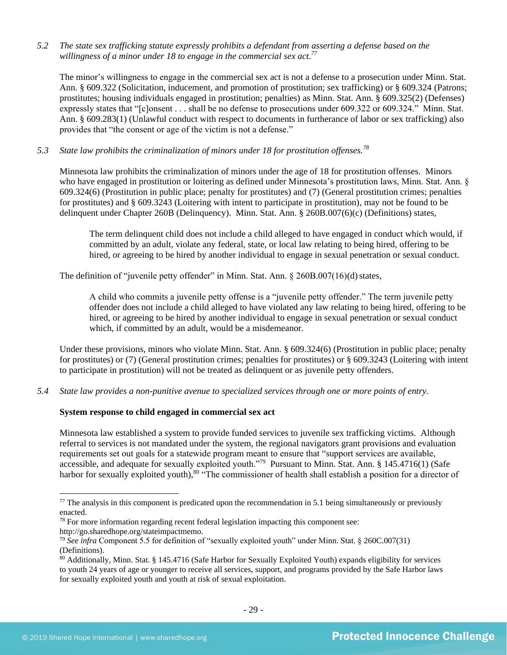*5.2 The state sex trafficking statute expressly prohibits a defendant from asserting a defense based on the willingness of a minor under 18 to engage in the commercial sex act. 77*

The minor's willingness to engage in the commercial sex act is not a defense to a prosecution under Minn. Stat. Ann. § 609.322 (Solicitation, inducement, and promotion of prostitution; sex trafficking) or § 609.324 (Patrons; prostitutes; housing individuals engaged in prostitution; penalties) as Minn. Stat. Ann. § 609.325(2) (Defenses) expressly states that "[c]onsent . . . shall be no defense to prosecutions under 609.322 or 609.324." Minn. Stat. Ann. § 609.283(1) (Unlawful conduct with respect to documents in furtherance of labor or sex trafficking) also provides that "the consent or age of the victim is not a defense."

*5.3 State law prohibits the criminalization of minors under 18 for prostitution offenses.<sup>78</sup>*

Minnesota law prohibits the criminalization of minors under the age of 18 for prostitution offenses. Minors who have engaged in prostitution or loitering as defined under Minnesota's prostitution laws, Minn. Stat. Ann. § 609.324(6) (Prostitution in public place; penalty for prostitutes) and (7) (General prostitution crimes; penalties for prostitutes) and § 609.3243 (Loitering with intent to participate in prostitution), may not be found to be delinquent under Chapter 260B (Delinquency). Minn. Stat. Ann. § 260B.007(6)(c) (Definitions) states,

The term delinquent child does not include a child alleged to have engaged in conduct which would, if committed by an adult, violate any federal, state, or local law relating to being hired, offering to be hired, or agreeing to be hired by another individual to engage in sexual penetration or sexual conduct.

The definition of "juvenile petty offender" in Minn. Stat. Ann.  $\S 260B.007(16)(d)$  states,

A child who commits a juvenile petty offense is a "juvenile petty offender." The term juvenile petty offender does not include a child alleged to have violated any law relating to being hired, offering to be hired, or agreeing to be hired by another individual to engage in sexual penetration or sexual conduct which, if committed by an adult, would be a misdemeanor.

Under these provisions, minors who violate Minn. Stat. Ann. § 609.324(6) (Prostitution in public place; penalty for prostitutes) or (7) (General prostitution crimes; penalties for prostitutes) or § 609.3243 (Loitering with intent to participate in prostitution) will not be treated as delinquent or as juvenile petty offenders.

*5.4 State law provides a non-punitive avenue to specialized services through one or more points of entry.*

# **System response to child engaged in commercial sex act**

Minnesota law established a system to provide funded services to juvenile sex trafficking victims. Although referral to services is not mandated under the system, the regional navigators grant provisions and evaluation requirements set out goals for a statewide program meant to ensure that "support services are available, accessible, and adequate for sexually exploited youth."<sup>79</sup> Pursuant to Minn. Stat. Ann. § 145.4716(1) (Safe harbor for sexually exploited youth),<sup>80</sup> "The commissioner of health shall establish a position for a director of

 $77$  The analysis in this component is predicated upon the recommendation in 5.1 being simultaneously or previously enacted.

<sup>78</sup> For more information regarding recent federal legislation impacting this component see: http://go.sharedhope.org/stateimpactmemo.

<sup>79</sup> *See infra* Component 5.5 for definition of "sexually exploited youth" under Minn. Stat. § 260C.007(31) (Definitions).

<sup>80</sup> Additionally, Minn. Stat. § 145.4716 (Safe Harbor for Sexually Exploited Youth) expands eligibility for services to youth 24 years of age or younger to receive all services, support, and programs provided by the Safe Harbor laws for sexually exploited youth and youth at risk of sexual exploitation.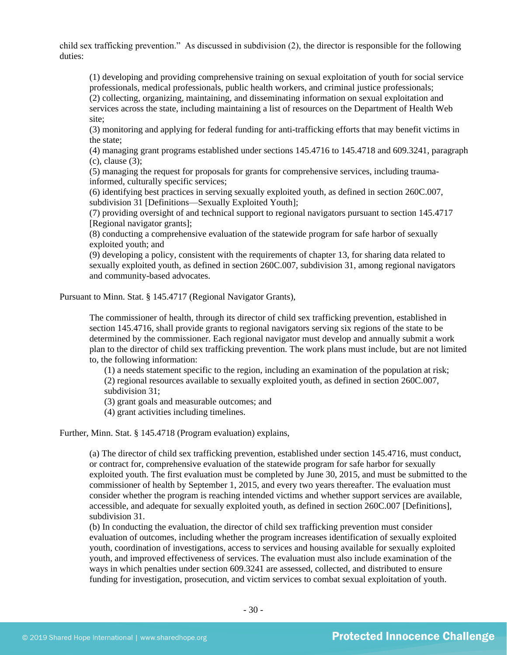child sex trafficking prevention." As discussed in subdivision (2), the director is responsible for the following duties:

(1) developing and providing comprehensive training on sexual exploitation of youth for social service professionals, medical professionals, public health workers, and criminal justice professionals; (2) collecting, organizing, maintaining, and disseminating information on sexual exploitation and services across the state, including maintaining a list of resources on the Department of Health Web site;

(3) monitoring and applying for federal funding for anti-trafficking efforts that may benefit victims in the state;

(4) managing grant programs established under sections 145.4716 to 145.4718 and 609.3241, paragraph (c), clause (3);

(5) managing the request for proposals for grants for comprehensive services, including traumainformed, culturally specific services;

(6) identifying best practices in serving sexually exploited youth, as defined in section 260C.007, subdivision 31 [Definitions—Sexually Exploited Youth];

(7) providing oversight of and technical support to regional navigators pursuant to section 145.4717 [Regional navigator grants];

(8) conducting a comprehensive evaluation of the statewide program for safe harbor of sexually exploited youth; and

(9) developing a policy, consistent with the requirements of chapter 13, for sharing data related to sexually exploited youth, as defined in section 260C.007, subdivision 31, among regional navigators and community-based advocates.

Pursuant to Minn. Stat. § 145.4717 (Regional Navigator Grants),

The commissioner of health, through its director of child sex trafficking prevention, established in section 145.4716, shall provide grants to regional navigators serving six regions of the state to be determined by the commissioner. Each regional navigator must develop and annually submit a work plan to the director of child sex trafficking prevention. The work plans must include, but are not limited to, the following information:

(1) a needs statement specific to the region, including an examination of the population at risk; (2) regional resources available to sexually exploited youth, as defined in section 260C.007, subdivision 31;

(3) grant goals and measurable outcomes; and

(4) grant activities including timelines.

Further, Minn. Stat. § 145.4718 (Program evaluation) explains,

(a) The director of child sex trafficking prevention, established under section 145.4716, must conduct, or contract for, comprehensive evaluation of the statewide program for safe harbor for sexually exploited youth. The first evaluation must be completed by June 30, 2015, and must be submitted to the commissioner of health by September 1, 2015, and every two years thereafter. The evaluation must consider whether the program is reaching intended victims and whether support services are available, accessible, and adequate for sexually exploited youth, as defined in section 260C.007 [Definitions], subdivision 31.

(b) In conducting the evaluation, the director of child sex trafficking prevention must consider evaluation of outcomes, including whether the program increases identification of sexually exploited youth, coordination of investigations, access to services and housing available for sexually exploited youth, and improved effectiveness of services. The evaluation must also include examination of the ways in which penalties under section 609.3241 are assessed, collected, and distributed to ensure funding for investigation, prosecution, and victim services to combat sexual exploitation of youth.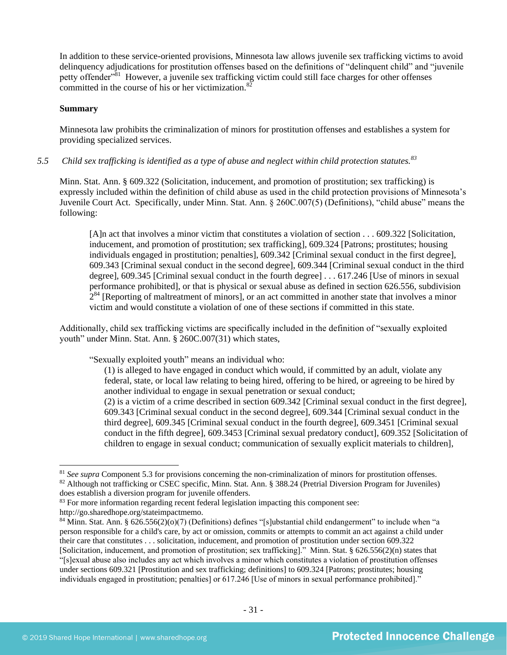In addition to these service-oriented provisions, Minnesota law allows juvenile sex trafficking victims to avoid delinquency adjudications for prostitution offenses based on the definitions of "delinquent child" and "juvenile petty offender"<sup>81</sup> However, a juvenile sex trafficking victim could still face charges for other offenses committed in the course of his or her victimization.<sup>82</sup>

#### **Summary**

Minnesota law prohibits the criminalization of minors for prostitution offenses and establishes a system for providing specialized services.

# *5.5 Child sex trafficking is identified as a type of abuse and neglect within child protection statutes.<sup>83</sup>*

Minn. Stat. Ann. § 609.322 (Solicitation, inducement, and promotion of prostitution; sex trafficking) is expressly included within the definition of child abuse as used in the child protection provisions of Minnesota's Juvenile Court Act. Specifically, under Minn. Stat. Ann. § 260C.007(5) (Definitions), "child abuse" means the following:

[A]n act that involves a minor victim that constitutes a violation of section . . . 609.322 [Solicitation, inducement, and promotion of prostitution; sex trafficking], 609.324 [Patrons; prostitutes; housing individuals engaged in prostitution; penalties], 609.342 [Criminal sexual conduct in the first degree], 609.343 [Criminal sexual conduct in the second degree], 609.344 [Criminal sexual conduct in the third degree], 609.345 [Criminal sexual conduct in the fourth degree] . . . 617.246 [Use of minors in sexual performance prohibited], or that is physical or sexual abuse as defined in section 626.556, subdivision  $2^{84}$  [Reporting of maltreatment of minors], or an act committed in another state that involves a minor victim and would constitute a violation of one of these sections if committed in this state.

Additionally, child sex trafficking victims are specifically included in the definition of "sexually exploited youth" under Minn. Stat. Ann. § 260C.007(31) which states,

"Sexually exploited youth" means an individual who:

(1) is alleged to have engaged in conduct which would, if committed by an adult, violate any federal, state, or local law relating to being hired, offering to be hired, or agreeing to be hired by another individual to engage in sexual penetration or sexual conduct;

(2) is a victim of a crime described in section 609.342 [Criminal sexual conduct in the first degree], 609.343 [Criminal sexual conduct in the second degree], 609.344 [Criminal sexual conduct in the third degree], 609.345 [Criminal sexual conduct in the fourth degree], 609.3451 [Criminal sexual conduct in the fifth degree], 609.3453 [Criminal sexual predatory conduct], 609.352 [Solicitation of children to engage in sexual conduct; communication of sexually explicit materials to children],

<sup>&</sup>lt;sup>81</sup> *See supra* Component 5.3 for provisions concerning the non-criminalization of minors for prostitution offenses. <sup>82</sup> Although not trafficking or CSEC specific, Minn. Stat. Ann. § 388.24 (Pretrial Diversion Program for Juveniles) does establish a diversion program for juvenile offenders.

<sup>&</sup>lt;sup>83</sup> For more information regarding recent federal legislation impacting this component see: http://go.sharedhope.org/stateimpactmemo.

<sup>84</sup> Minn. Stat. Ann. § 626.556(2)(o)(7) (Definitions) defines "[s]ubstantial child endangerment" to include when "a person responsible for a child's care, by act or omission, commits or attempts to commit an act against a child under their care that constitutes . . . solicitation, inducement, and promotion of prostitution under section 609.322 [Solicitation, inducement, and promotion of prostitution; sex trafficking]." Minn. Stat. § 626.556(2)(n) states that

<sup>&</sup>quot;[s]exual abuse also includes any act which involves a minor which constitutes a violation of prostitution offenses under sections 609.321 [Prostitution and sex trafficking; definitions] to 609.324 [Patrons; prostitutes; housing individuals engaged in prostitution; penalties] or 617.246 [Use of minors in sexual performance prohibited]."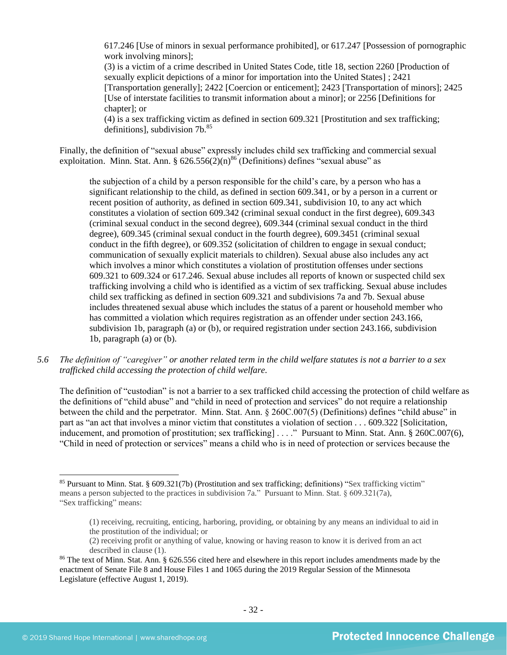617.246 [Use of minors in sexual performance prohibited], or 617.247 [Possession of pornographic work involving minors];

(3) is a victim of a crime described in United States Code, title 18, section 2260 [Production of sexually explicit depictions of a minor for importation into the United States] ; 2421 [Transportation generally]; 2422 [Coercion or enticement]; 2423 [Transportation of minors]; 2425 [Use of interstate facilities to transmit information about a minor]; or 2256 [Definitions for chapter]; or

<span id="page-31-0"></span>(4) is a sex trafficking victim as defined in section 609.321 [Prostitution and sex trafficking; definitions], subdivision  $7b$ .<sup>85</sup>

Finally, the definition of "sexual abuse" expressly includes child sex trafficking and commercial sexual exploitation. Minn. Stat. Ann. §  $626.556(2)(n)^{86}$  (Definitions) defines "sexual abuse" as

the subjection of a child by a person responsible for the child's care, by a person who has a significant relationship to the child, as defined in section 609.341, or by a person in a current or recent position of authority, as defined in section 609.341, subdivision 10, to any act which constitutes a violation of section 609.342 (criminal sexual conduct in the first degree), 609.343 (criminal sexual conduct in the second degree), 609.344 (criminal sexual conduct in the third degree), 609.345 (criminal sexual conduct in the fourth degree), 609.3451 (criminal sexual conduct in the fifth degree), or 609.352 (solicitation of children to engage in sexual conduct; communication of sexually explicit materials to children). Sexual abuse also includes any act which involves a minor which constitutes a violation of prostitution offenses under sections 609.321 to 609.324 or 617.246. Sexual abuse includes all reports of known or suspected child sex trafficking involving a child who is identified as a victim of sex trafficking. Sexual abuse includes child sex trafficking as defined in section 609.321 and subdivisions 7a and 7b. Sexual abuse includes threatened sexual abuse which includes the status of a parent or household member who has committed a violation which requires registration as an offender under section 243.166, subdivision 1b, paragraph (a) or (b), or required registration under section 243.166, subdivision 1b, paragraph (a) or (b).

*5.6 The definition of "caregiver" or another related term in the child welfare statutes is not a barrier to a sex trafficked child accessing the protection of child welfare.*

The definition of "custodian" is not a barrier to a sex trafficked child accessing the protection of child welfare as the definitions of "child abuse" and "child in need of protection and services" do not require a relationship between the child and the perpetrator. Minn. Stat. Ann. § 260C.007(5) (Definitions) defines "child abuse" in part as "an act that involves a minor victim that constitutes a violation of section . . . 609.322 [Solicitation, inducement, and promotion of prostitution; sex trafficking] . . . ." Pursuant to Minn. Stat. Ann. § 260C.007(6), "Child in need of protection or services" means a child who is in need of protection or services because the

<sup>85</sup> Pursuant to Minn. Stat. § 609.321(7b) (Prostitution and sex trafficking; definitions) "Sex trafficking victim" means a person subjected to the practices in subdivision 7a." Pursuant to Minn. Stat. § 609.321(7a), "Sex trafficking" means:

<sup>(1)</sup> receiving, recruiting, enticing, harboring, providing, or obtaining by any means an individual to aid in the prostitution of the individual; or

<sup>(2)</sup> receiving profit or anything of value, knowing or having reason to know it is derived from an act described in clause (1).

<sup>&</sup>lt;sup>86</sup> The text of Minn. Stat. Ann. § 626.556 cited here and elsewhere in this report includes amendments made by the enactment of Senate File 8 and House Files 1 and 1065 during the 2019 Regular Session of the Minnesota Legislature (effective August 1, 2019).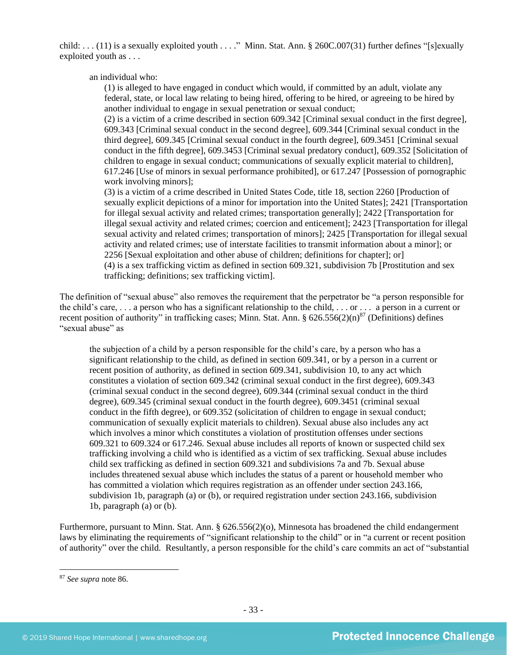child: . . . (11) is a sexually exploited youth . . . ." Minn. Stat. Ann. § 260C.007(31) further defines "[s]exually exploited youth as . . .

an individual who:

(1) is alleged to have engaged in conduct which would, if committed by an adult, violate any federal, state, or local law relating to being hired, offering to be hired, or agreeing to be hired by another individual to engage in sexual penetration or sexual conduct;

(2) is a victim of a crime described in section 609.342 [Criminal sexual conduct in the first degree], 609.343 [Criminal sexual conduct in the second degree], 609.344 [Criminal sexual conduct in the third degree], 609.345 [Criminal sexual conduct in the fourth degree], 609.3451 [Criminal sexual conduct in the fifth degree], 609.3453 [Criminal sexual predatory conduct], 609.352 [Solicitation of children to engage in sexual conduct; communications of sexually explicit material to children], 617.246 [Use of minors in sexual performance prohibited], or 617.247 [Possession of pornographic work involving minors];

(3) is a victim of a crime described in United States Code, title 18, section 2260 [Production of sexually explicit depictions of a minor for importation into the United States]; 2421 [Transportation for illegal sexual activity and related crimes; transportation generally]; 2422 [Transportation for illegal sexual activity and related crimes; coercion and enticement]; 2423 [Transportation for illegal sexual activity and related crimes; transportation of minors]; 2425 [Transportation for illegal sexual activity and related crimes; use of interstate facilities to transmit information about a minor]; or 2256 [Sexual exploitation and other abuse of children; definitions for chapter]; or] (4) is a sex trafficking victim as defined in section 609.321, subdivision 7b [Prostitution and sex trafficking; definitions; sex trafficking victim].

The definition of "sexual abuse" also removes the requirement that the perpetrator be "a person responsible for the child's care, . . . a person who has a significant relationship to the child, . . . or . . . a person in a current or recent position of authority" in trafficking cases; Minn. Stat. Ann. §  $626.556(2)(n)^{87}$  (Definitions) defines "sexual abuse" as

the subjection of a child by a person responsible for the child's care, by a person who has a significant relationship to the child, as defined in section 609.341, or by a person in a current or recent position of authority, as defined in section 609.341, subdivision 10, to any act which constitutes a violation of section 609.342 (criminal sexual conduct in the first degree), 609.343 (criminal sexual conduct in the second degree), 609.344 (criminal sexual conduct in the third degree), 609.345 (criminal sexual conduct in the fourth degree), 609.3451 (criminal sexual conduct in the fifth degree), or 609.352 (solicitation of children to engage in sexual conduct; communication of sexually explicit materials to children). Sexual abuse also includes any act which involves a minor which constitutes a violation of prostitution offenses under sections 609.321 to 609.324 or 617.246. Sexual abuse includes all reports of known or suspected child sex trafficking involving a child who is identified as a victim of sex trafficking. Sexual abuse includes child sex trafficking as defined in section 609.321 and subdivisions 7a and 7b. Sexual abuse includes threatened sexual abuse which includes the status of a parent or household member who has committed a violation which requires registration as an offender under section 243.166, subdivision 1b, paragraph (a) or (b), or required registration under section 243.166, subdivision 1b, paragraph (a) or (b).

Furthermore, pursuant to Minn. Stat. Ann. § 626.556(2)(o), Minnesota has broadened the child endangerment laws by eliminating the requirements of "significant relationship to the child" or in "a current or recent position of authority" over the child. Resultantly, a person responsible for the child's care commits an act of "substantial

<sup>87</sup> *See supra* note [86.](#page-31-0)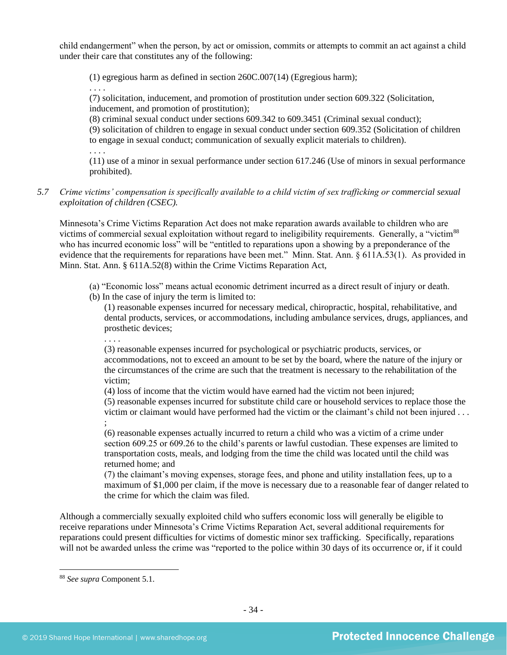child endangerment" when the person, by act or omission, commits or attempts to commit an act against a child under their care that constitutes any of the following:

(1) egregious harm as defined in section 260C.007(14) (Egregious harm);

(7) solicitation, inducement, and promotion of prostitution under section 609.322 (Solicitation, inducement, and promotion of prostitution);

(8) criminal sexual conduct under sections 609.342 to 609.3451 (Criminal sexual conduct);

(9) solicitation of children to engage in sexual conduct under section 609.352 (Solicitation of children to engage in sexual conduct; communication of sexually explicit materials to children).

. . . .

. . . .

(11) use of a minor in sexual performance under section 617.246 (Use of minors in sexual performance prohibited).

# *5.7 Crime victims' compensation is specifically available to a child victim of sex trafficking or commercial sexual exploitation of children (CSEC).*

Minnesota's Crime Victims Reparation Act does not make reparation awards available to children who are victims of commercial sexual exploitation without regard to ineligibility requirements. Generally, a "victim<sup>88</sup> who has incurred economic loss" will be "entitled to reparations upon a showing by a preponderance of the evidence that the requirements for reparations have been met." Minn. Stat. Ann. § 611A.53(1). As provided in Minn. Stat. Ann. § 611A.52(8) within the Crime Victims Reparation Act,

- (a) "Economic loss" means actual economic detriment incurred as a direct result of injury or death.
- (b) In the case of injury the term is limited to:

(1) reasonable expenses incurred for necessary medical, chiropractic, hospital, rehabilitative, and dental products, services, or accommodations, including ambulance services, drugs, appliances, and prosthetic devices;

. . . .

(3) reasonable expenses incurred for psychological or psychiatric products, services, or accommodations, not to exceed an amount to be set by the board, where the nature of the injury or the circumstances of the crime are such that the treatment is necessary to the rehabilitation of the victim;

(4) loss of income that the victim would have earned had the victim not been injured;

(5) reasonable expenses incurred for substitute child care or household services to replace those the victim or claimant would have performed had the victim or the claimant's child not been injured . . . ;

(6) reasonable expenses actually incurred to return a child who was a victim of a crime under section 609.25 or 609.26 to the child's parents or lawful custodian. These expenses are limited to transportation costs, meals, and lodging from the time the child was located until the child was returned home; and

(7) the claimant's moving expenses, storage fees, and phone and utility installation fees, up to a maximum of \$1,000 per claim, if the move is necessary due to a reasonable fear of danger related to the crime for which the claim was filed.

Although a commercially sexually exploited child who suffers economic loss will generally be eligible to receive reparations under Minnesota's Crime Victims Reparation Act, several additional requirements for reparations could present difficulties for victims of domestic minor sex trafficking. Specifically, reparations will not be awarded unless the crime was "reported to the police within 30 days of its occurrence or, if it could

<sup>88</sup> *See supra* Component 5.1.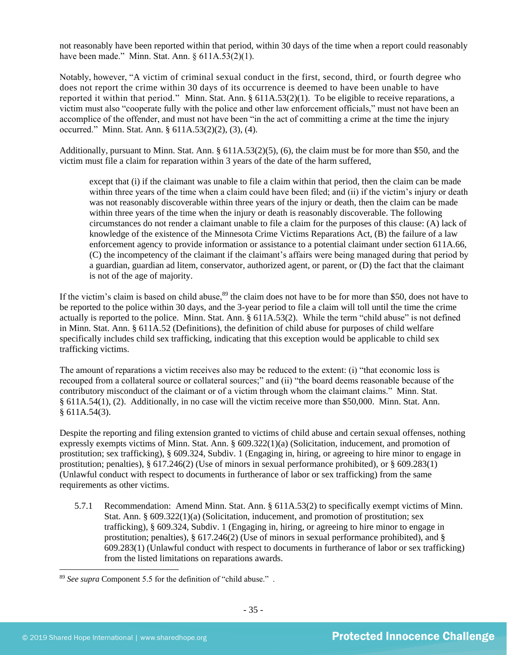not reasonably have been reported within that period, within 30 days of the time when a report could reasonably have been made." Minn. Stat. Ann. § 611A.53(2)(1).

Notably, however, "A victim of criminal sexual conduct in the first, second, third, or fourth degree who does not report the crime within 30 days of its occurrence is deemed to have been unable to have reported it within that period." Minn. Stat. Ann. § 611A.53(2)(1). To be eligible to receive reparations, a victim must also "cooperate fully with the police and other law enforcement officials," must not have been an accomplice of the offender, and must not have been "in the act of committing a crime at the time the injury occurred." Minn. Stat. Ann. § 611A.53(2)(2), (3), (4).

Additionally, pursuant to Minn. Stat. Ann. § 611A.53(2)(5), (6), the claim must be for more than \$50, and the victim must file a claim for reparation within 3 years of the date of the harm suffered,

except that (i) if the claimant was unable to file a claim within that period, then the claim can be made within three years of the time when a claim could have been filed; and (ii) if the victim's injury or death was not reasonably discoverable within three years of the injury or death, then the claim can be made within three years of the time when the injury or death is reasonably discoverable. The following circumstances do not render a claimant unable to file a claim for the purposes of this clause: (A) lack of knowledge of the existence of the Minnesota Crime Victims Reparations Act, (B) the failure of a law enforcement agency to provide information or assistance to a potential claimant under section 611A.66, (C) the incompetency of the claimant if the claimant's affairs were being managed during that period by a guardian, guardian ad litem, conservator, authorized agent, or parent, or (D) the fact that the claimant is not of the age of majority.

If the victim's claim is based on child abuse,<sup>89</sup> the claim does not have to be for more than \$50, does not have to be reported to the police within 30 days, and the 3-year period to file a claim will toll until the time the crime actually is reported to the police. Minn. Stat. Ann. § 611A.53(2). While the term "child abuse" is not defined in Minn. Stat. Ann. § 611A.52 (Definitions), the definition of child abuse for purposes of child welfare specifically includes child sex trafficking, indicating that this exception would be applicable to child sex trafficking victims.

The amount of reparations a victim receives also may be reduced to the extent: (i) "that economic loss is recouped from a collateral source or collateral sources;" and (ii) "the board deems reasonable because of the contributory misconduct of the claimant or of a victim through whom the claimant claims." Minn. Stat. § 611A.54(1), (2). Additionally, in no case will the victim receive more than \$50,000. Minn. Stat. Ann. § 611A.54(3).

Despite the reporting and filing extension granted to victims of child abuse and certain sexual offenses, nothing expressly exempts victims of Minn. Stat. Ann. § 609.322(1)(a) (Solicitation, inducement, and promotion of prostitution; sex trafficking), § 609.324, Subdiv. 1 (Engaging in, hiring, or agreeing to hire minor to engage in prostitution; penalties), § 617.246(2) (Use of minors in sexual performance prohibited), or § 609.283(1) (Unlawful conduct with respect to documents in furtherance of labor or sex trafficking) from the same requirements as other victims.

5.7.1 Recommendation: Amend Minn. Stat. Ann. § 611A.53(2) to specifically exempt victims of Minn. Stat. Ann. § 609.322(1)(a) (Solicitation, inducement, and promotion of prostitution; sex trafficking), § 609.324, Subdiv. 1 (Engaging in, hiring, or agreeing to hire minor to engage in prostitution; penalties),  $\S 617.246(2)$  (Use of minors in sexual performance prohibited), and  $\S$ 609.283(1) (Unlawful conduct with respect to documents in furtherance of labor or sex trafficking) from the listed limitations on reparations awards.

<sup>89</sup> *See supra* Component 5.5 for the definition of "child abuse." .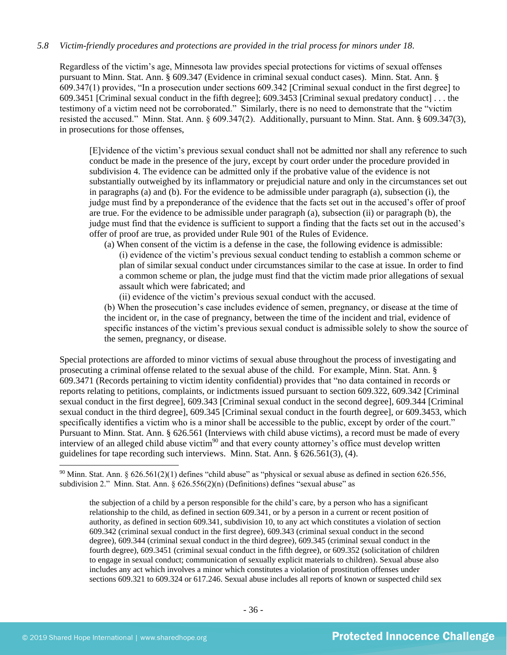# *5.8 Victim-friendly procedures and protections are provided in the trial process for minors under 18.*

Regardless of the victim's age, Minnesota law provides special protections for victims of sexual offenses pursuant to Minn. Stat. Ann. § 609.347 (Evidence in criminal sexual conduct cases). Minn. Stat. Ann. § 609.347(1) provides, "In a prosecution under sections 609.342 [Criminal sexual conduct in the first degree] to 609.3451 [Criminal sexual conduct in the fifth degree]; 609.3453 [Criminal sexual predatory conduct] . . . the testimony of a victim need not be corroborated." Similarly, there is no need to demonstrate that the "victim resisted the accused." Minn. Stat. Ann. § 609.347(2). Additionally, pursuant to Minn. Stat. Ann. § 609.347(3), in prosecutions for those offenses,

[E]vidence of the victim's previous sexual conduct shall not be admitted nor shall any reference to such conduct be made in the presence of the jury, except by court order under the procedure provided in subdivision 4. The evidence can be admitted only if the probative value of the evidence is not substantially outweighed by its inflammatory or prejudicial nature and only in the circumstances set out in paragraphs (a) and (b). For the evidence to be admissible under paragraph (a), subsection (i), the judge must find by a preponderance of the evidence that the facts set out in the accused's offer of proof are true. For the evidence to be admissible under paragraph (a), subsection (ii) or paragraph (b), the judge must find that the evidence is sufficient to support a finding that the facts set out in the accused's offer of proof are true, as provided under Rule 901 of the Rules of Evidence.

- (a) When consent of the victim is a defense in the case, the following evidence is admissible: (i) evidence of the victim's previous sexual conduct tending to establish a common scheme or plan of similar sexual conduct under circumstances similar to the case at issue. In order to find a common scheme or plan, the judge must find that the victim made prior allegations of sexual assault which were fabricated; and
	- (ii) evidence of the victim's previous sexual conduct with the accused.

(b) When the prosecution's case includes evidence of semen, pregnancy, or disease at the time of the incident or, in the case of pregnancy, between the time of the incident and trial, evidence of specific instances of the victim's previous sexual conduct is admissible solely to show the source of the semen, pregnancy, or disease.

Special protections are afforded to minor victims of sexual abuse throughout the process of investigating and prosecuting a criminal offense related to the sexual abuse of the child. For example, Minn. Stat. Ann. § 609.3471 (Records pertaining to victim identity confidential) provides that "no data contained in records or reports relating to petitions, complaints, or indictments issued pursuant to [section 609.322, 609.342](http://web2.westlaw.com/find/default.wl?tc=-1&docname=MNSTS609.342&rp=%2ffind%2fdefault.wl&sv=Split&rs=WLW11.04&db=1000044&tf=-1&findtype=L&fn=_top&mt=59&vr=2.0&pbc=5B5D1160&ordoc=3575265) [Criminal sexual conduct in the first degree], [609.343](http://web2.westlaw.com/find/default.wl?tc=-1&docname=MNSTS609.343&rp=%2ffind%2fdefault.wl&sv=Split&rs=WLW11.04&db=1000044&tf=-1&findtype=L&fn=_top&mt=59&vr=2.0&pbc=5B5D1160&ordoc=3575265) [Criminal sexual conduct in the second degree], [609.344](http://web2.westlaw.com/find/default.wl?tc=-1&docname=MNSTS609.344&rp=%2ffind%2fdefault.wl&sv=Split&rs=WLW11.04&db=1000044&tf=-1&findtype=L&fn=_top&mt=59&vr=2.0&pbc=5B5D1160&ordoc=3575265) [Criminal sexual conduct in the third degree], [609.345](http://web2.westlaw.com/find/default.wl?tc=-1&docname=MNSTS609.345&rp=%2ffind%2fdefault.wl&sv=Split&rs=WLW11.04&db=1000044&tf=-1&findtype=L&fn=_top&mt=59&vr=2.0&pbc=5B5D1160&ordoc=3575265) [Criminal sexual conduct in the fourth degree], or [609.3453,](http://web2.westlaw.com/find/default.wl?tc=-1&docname=MNSTS609.3453&rp=%2ffind%2fdefault.wl&sv=Split&rs=WLW11.04&db=1000044&tf=-1&findtype=L&fn=_top&mt=59&vr=2.0&pbc=5B5D1160&ordoc=3575265) which specifically identifies a victim who is a minor shall be accessible to the public, except by order of the court." Pursuant to Minn. Stat. Ann. § 626.561 (Interviews with child abuse victims), a record must be made of every interview of an alleged child abuse victim<sup>90</sup> and that every county attorney's office must develop written guidelines for tape recording such interviews. Minn. Stat. Ann. § 626.561(3), (4).

<sup>90</sup> Minn. Stat. Ann. § 626.561(2)(1) defines "child abuse" as "physical or sexual abuse as defined in section 626.556, subdivision 2." Minn. Stat. Ann.  $\S 626.556(2)(n)$  (Definitions) defines "sexual abuse" as

the subjection of a child by a person responsible for the child's care, by a person who has a significant relationship to the child, as defined in section 609.341, or by a person in a current or recent position of authority, as defined in section 609.341, subdivision 10, to any act which constitutes a violation of section 609.342 (criminal sexual conduct in the first degree), 609.343 (criminal sexual conduct in the second degree), 609.344 (criminal sexual conduct in the third degree), 609.345 (criminal sexual conduct in the fourth degree), 609.3451 (criminal sexual conduct in the fifth degree), or 609.352 (solicitation of children to engage in sexual conduct; communication of sexually explicit materials to children). Sexual abuse also includes any act which involves a minor which constitutes a violation of prostitution offenses under sections 609.321 to 609.324 or 617.246. Sexual abuse includes all reports of known or suspected child sex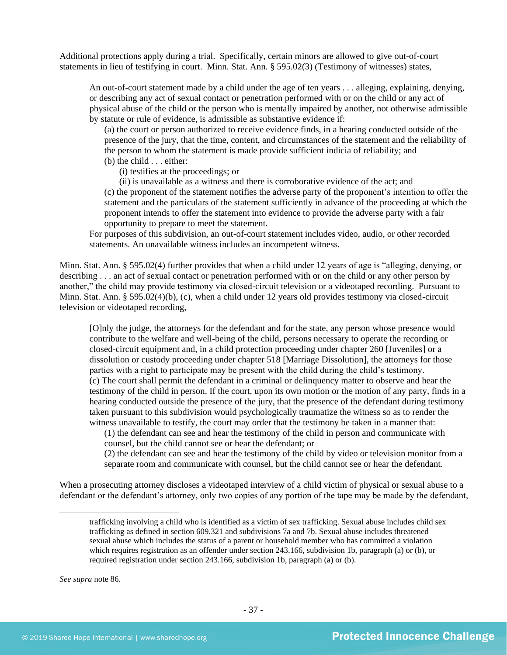Additional protections apply during a trial. Specifically, certain minors are allowed to give out-of-court statements in lieu of testifying in court. Minn. Stat. Ann. § 595.02(3) (Testimony of witnesses) states,

An out-of-court statement made by a child under the age of ten years . . . alleging, explaining, denying, or describing any act of sexual contact or penetration performed with or on the child or any act of physical abuse of the child or the person who is mentally impaired by another, not otherwise admissible by statute or rule of evidence, is admissible as substantive evidence if:

(a) the court or person authorized to receive evidence finds, in a hearing conducted outside of the presence of the jury, that the time, content, and circumstances of the statement and the reliability of the person to whom the statement is made provide sufficient indicia of reliability; and (b) the child . . . either:

(i) testifies at the proceedings; or

(ii) is unavailable as a witness and there is corroborative evidence of the act; and

(c) the proponent of the statement notifies the adverse party of the proponent's intention to offer the statement and the particulars of the statement sufficiently in advance of the proceeding at which the proponent intends to offer the statement into evidence to provide the adverse party with a fair opportunity to prepare to meet the statement.

For purposes of this subdivision, an out-of-court statement includes video, audio, or other recorded statements. An unavailable witness includes an incompetent witness.

Minn. Stat. Ann. § 595.02(4) further provides that when a child under 12 years of age is "alleging, denying, or describing . . . an act of sexual contact or penetration performed with or on the child or any other person by another," the child may provide testimony via closed-circuit television or a videotaped recording. Pursuant to Minn. Stat. Ann. § 595.02(4)(b), (c), when a child under 12 years old provides testimony via closed-circuit television or videotaped recording,

[O]nly the judge, the attorneys for the defendant and for the state, any person whose presence would contribute to the welfare and well-being of the child, persons necessary to operate the recording or closed-circuit equipment and, in a child protection proceeding under chapter 260 [Juveniles] or a dissolution or custody proceeding under chapter 518 [Marriage Dissolution], the attorneys for those parties with a right to participate may be present with the child during the child's testimony. (c) The court shall permit the defendant in a criminal or delinquency matter to observe and hear the testimony of the child in person. If the court, upon its own motion or the motion of any party, finds in a hearing conducted outside the presence of the jury, that the presence of the defendant during testimony taken pursuant to this subdivision would psychologically traumatize the witness so as to render the witness unavailable to testify, the court may order that the testimony be taken in a manner that:

(1) the defendant can see and hear the testimony of the child in person and communicate with counsel, but the child cannot see or hear the defendant; or

(2) the defendant can see and hear the testimony of the child by video or television monitor from a separate room and communicate with counsel, but the child cannot see or hear the defendant.

When a prosecuting attorney discloses a videotaped interview of a child victim of physical or sexual abuse to a defendant or the defendant's attorney, only two copies of any portion of the tape may be made by the defendant,

*See supra* note [86.](#page-31-0)

trafficking involving a child who is identified as a victim of sex trafficking. Sexual abuse includes child sex trafficking as defined in section 609.321 and subdivisions 7a and 7b. Sexual abuse includes threatened sexual abuse which includes the status of a parent or household member who has committed a violation which requires registration as an offender under section 243.166, subdivision 1b, paragraph (a) or (b), or required registration under section 243.166, subdivision 1b, paragraph (a) or (b).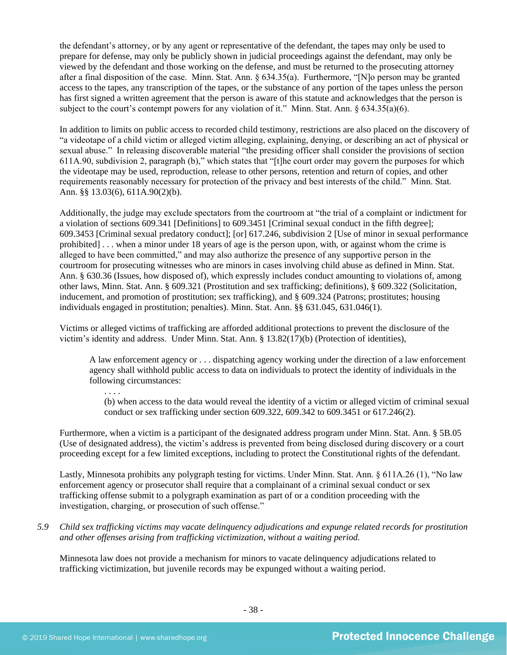the defendant's attorney, or by any agent or representative of the defendant, the tapes may only be used to prepare for defense, may only be publicly shown in judicial proceedings against the defendant, may only be viewed by the defendant and those working on the defense, and must be returned to the prosecuting attorney after a final disposition of the case. Minn. Stat. Ann. § 634.35(a). Furthermore, "[N]o person may be granted access to the tapes, any transcription of the tapes, or the substance of any portion of the tapes unless the person has first signed a written agreement that the person is aware of this statute and acknowledges that the person is subject to the court's contempt powers for any violation of it." Minn. Stat. Ann. § 634.35(a)(6).

In addition to limits on public access to recorded child testimony, restrictions are also placed on the discovery of "a videotape of a child victim or alleged victim alleging, explaining, denying, or describing an act of physical or sexual abuse." In releasing discoverable material "the presiding officer shall consider the provisions of section 611A.90, subdivision 2, paragraph (b)," which states that "[t]he court order may govern the purposes for which the videotape may be used, reproduction, release to other persons, retention and return of copies, and other requirements reasonably necessary for protection of the privacy and best interests of the child." Minn. Stat. Ann. §§ 13.03(6), 611A.90(2)(b).

Additionally, the judge may exclude spectators from the courtroom at "the trial of a complaint or indictment for a violation of sections 609.341 [Definitions] to 609.3451 [Criminal sexual conduct in the fifth degree]; 609.3453 [Criminal sexual predatory conduct]; [or] 617.246, subdivision 2 [Use of minor in sexual performance prohibited] . . . when a minor under 18 years of age is the person upon, with, or against whom the crime is alleged to have been committed," and may also authorize the presence of any supportive person in the courtroom for prosecuting witnesses who are minors in cases involving child abuse as defined in Minn. Stat. Ann. § 630.36 (Issues, how disposed of), which expressly includes conduct amounting to violations of, among other laws, Minn. Stat. Ann. § 609.321 (Prostitution and sex trafficking; definitions), § 609.322 (Solicitation, inducement, and promotion of prostitution; sex trafficking), and § 609.324 (Patrons; prostitutes; housing individuals engaged in prostitution; penalties). Minn. Stat. Ann. §§ 631.045, 631.046(1).

Victims or alleged victims of trafficking are afforded additional protections to prevent the disclosure of the victim's identity and address. Under Minn. Stat. Ann. § 13.82(17)(b) (Protection of identities),

A law enforcement agency or . . . dispatching agency working under the direction of a law enforcement agency shall withhold public access to data on individuals to protect the identity of individuals in the following circumstances:

(b) when access to the data would reveal the identity of a victim or alleged victim of criminal sexual conduct or sex trafficking under section 609.322, 609.342 to 609.3451 or 617.246(2).

Furthermore, when a victim is a participant of the designated address program under Minn. Stat. Ann. § 5B.05 (Use of designated address), the victim's address is prevented from being disclosed during discovery or a court proceeding except for a few limited exceptions, including to protect the Constitutional rights of the defendant.

Lastly, Minnesota prohibits any polygraph testing for victims. Under Minn. Stat. Ann. § 611A.26 (1), "No law enforcement agency or prosecutor shall require that a complainant of a criminal sexual conduct or sex trafficking offense submit to a polygraph examination as part of or a condition proceeding with the investigation, charging, or prosecution of such offense."

*5.9 Child sex trafficking victims may vacate delinquency adjudications and expunge related records for prostitution and other offenses arising from trafficking victimization, without a waiting period.*

Minnesota law does not provide a mechanism for minors to vacate delinquency adjudications related to trafficking victimization, but juvenile records may be expunged without a waiting period.

. . . .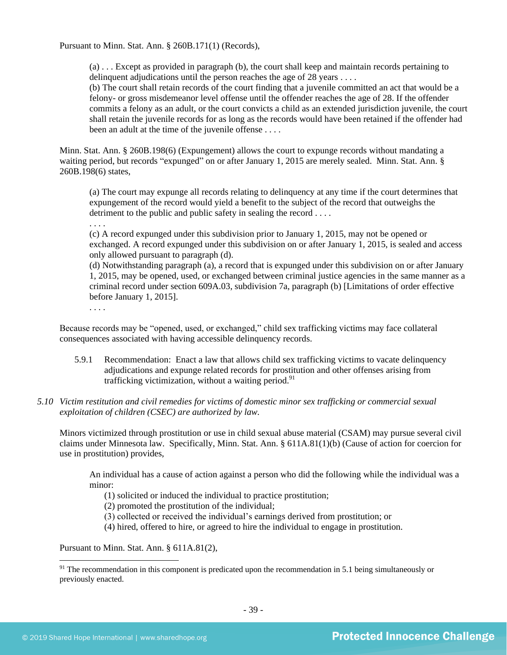Pursuant to Minn. Stat. Ann. § 260B.171(1) (Records),

(a) . . . Except as provided in paragraph (b), the court shall keep and maintain records pertaining to delinquent adjudications until the person reaches the age of 28 years . . . .

(b) The court shall retain records of the court finding that a juvenile committed an act that would be a felony- or gross misdemeanor level offense until the offender reaches the age of 28. If the offender commits a felony as an adult, or the court convicts a child as an extended jurisdiction juvenile, the court shall retain the juvenile records for as long as the records would have been retained if the offender had been an adult at the time of the juvenile offense . . . .

Minn. Stat. Ann. § 260B.198(6) (Expungement) allows the court to expunge records without mandating a waiting period, but records "expunged" on or after January 1, 2015 are merely sealed. Minn. Stat. Ann. § 260B.198(6) states,

(a) The court may expunge all records relating to delinquency at any time if the court determines that expungement of the record would yield a benefit to the subject of the record that outweighs the detriment to the public and public safety in sealing the record . . . .

. . . .

(c) A record expunged under this subdivision prior to January 1, 2015, may not be opened or exchanged. A record expunged under this subdivision on or after January 1, 2015, is sealed and access only allowed pursuant to paragraph (d).

(d) Notwithstanding paragraph (a), a record that is expunged under this subdivision on or after January 1, 2015, may be opened, used, or exchanged between criminal justice agencies in the same manner as a criminal record under section 609A.03, subdivision 7a, paragraph (b) [Limitations of order effective before January 1, 2015].

. . . .

Because records may be "opened, used, or exchanged," child sex trafficking victims may face collateral consequences associated with having accessible delinquency records.

- 5.9.1 Recommendation: Enact a law that allows child sex trafficking victims to vacate delinquency adjudications and expunge related records for prostitution and other offenses arising from trafficking victimization, without a waiting period.<sup>91</sup>
- *5.10 Victim restitution and civil remedies for victims of domestic minor sex trafficking or commercial sexual exploitation of children (CSEC) are authorized by law.*

Minors victimized through prostitution or use in child sexual abuse material (CSAM) may pursue several civil claims under Minnesota law. Specifically, Minn. Stat. Ann. § 611A.81(1)(b) (Cause of action for coercion for use in prostitution) provides,

An individual has a cause of action against a person who did the following while the individual was a minor:

(1) solicited or induced the individual to practice prostitution;

(2) promoted the prostitution of the individual;

(3) collected or received the individual's earnings derived from prostitution; or

(4) hired, offered to hire, or agreed to hire the individual to engage in prostitution.

Pursuant to Minn. Stat. Ann. § 611A.81(2),

<sup>&</sup>lt;sup>91</sup> The recommendation in this component is predicated upon the recommendation in 5.1 being simultaneously or previously enacted.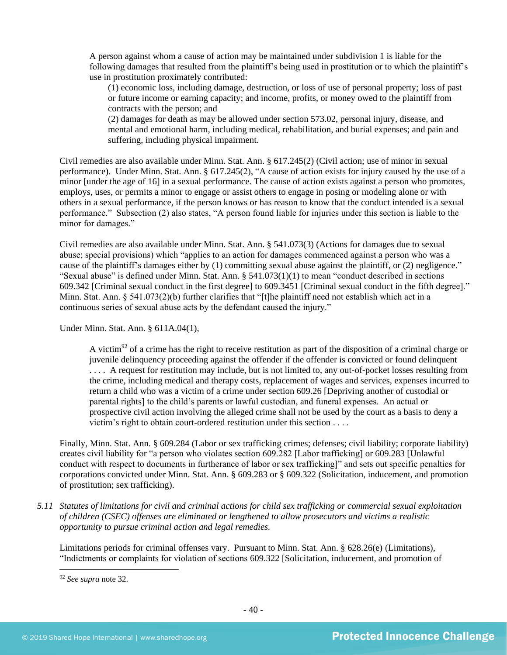A person against whom a cause of action may be maintained under subdivision 1 is liable for the following damages that resulted from the plaintiff's being used in prostitution or to which the plaintiff's use in prostitution proximately contributed:

(1) economic loss, including damage, destruction, or loss of use of personal property; loss of past or future income or earning capacity; and income, profits, or money owed to the plaintiff from contracts with the person; and

(2) damages for death as may be allowed under section 573.02, personal injury, disease, and mental and emotional harm, including medical, rehabilitation, and burial expenses; and pain and suffering, including physical impairment.

Civil remedies are also available under Minn. Stat. Ann. § 617.245(2) (Civil action; use of minor in sexual performance). Under Minn. Stat. Ann. § 617.245(2), "A cause of action exists for injury caused by the use of a minor [under the age of 16] in a sexual performance. The cause of action exists against a person who promotes, employs, uses, or permits a minor to engage or assist others to engage in posing or modeling alone or with others in a sexual performance, if the person knows or has reason to know that the conduct intended is a sexual performance." Subsection (2) also states, "A person found liable for injuries under this section is liable to the minor for damages."

Civil remedies are also available under Minn. Stat. Ann. § 541.073(3) (Actions for damages due to sexual abuse; special provisions) which "applies to an action for damages commenced against a person who was a cause of the plaintiff's damages either by (1) committing sexual abuse against the plaintiff, or (2) negligence." "Sexual abuse" is defined under Minn. Stat. Ann.  $\S$  541.073(1)(1) to mean "conduct described in sections 609.342 [Criminal sexual conduct in the first degree] to 609.3451 [Criminal sexual conduct in the fifth degree]." Minn. Stat. Ann. § 541.073(2)(b) further clarifies that "[t]he plaintiff need not establish which act in a continuous series of sexual abuse acts by the defendant caused the injury."

Under Minn. Stat. Ann. § 611A.04(1),

A victim<sup>92</sup> of a crime has the right to receive restitution as part of the disposition of a criminal charge or juvenile delinquency proceeding against the offender if the offender is convicted or found delinquent . . . . A request for restitution may include, but is not limited to, any out-of-pocket losses resulting from the crime, including medical and therapy costs, replacement of wages and services, expenses incurred to return a child who was a victim of a crime under section 609.26 [Depriving another of custodial or parental rights] to the child's parents or lawful custodian, and funeral expenses. An actual or prospective civil action involving the alleged crime shall not be used by the court as a basis to deny a victim's right to obtain court-ordered restitution under this section . . . .

Finally, Minn. Stat. Ann. § 609.284 (Labor or sex trafficking crimes; defenses; civil liability; corporate liability) creates civil liability for "a person who violates section 609.282 [Labor trafficking] or 609.283 [Unlawful conduct with respect to documents in furtherance of labor or sex trafficking]" and sets out specific penalties for corporations convicted under Minn. Stat. Ann. § 609.283 or § 609.322 (Solicitation, inducement, and promotion of prostitution; sex trafficking).

*5.11 Statutes of limitations for civil and criminal actions for child sex trafficking or commercial sexual exploitation of children (CSEC) offenses are eliminated or lengthened to allow prosecutors and victims a realistic opportunity to pursue criminal action and legal remedies.*

Limitations periods for criminal offenses vary. Pursuant to Minn. Stat. Ann. § 628.26(e) (Limitations), "Indictments or complaints for violation of sections 609.322 [Solicitation, inducement, and promotion of

<sup>92</sup> *See supra* note [32.](#page-13-0)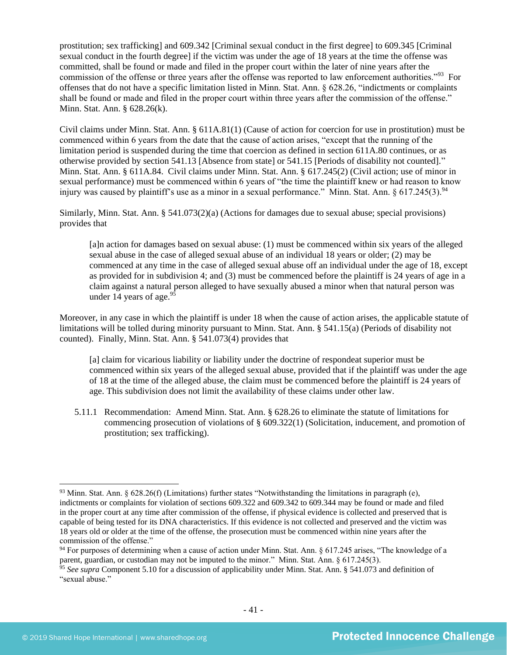prostitution; sex trafficking] and 609.342 [Criminal sexual conduct in the first degree] to 609.345 [Criminal sexual conduct in the fourth degree] if the victim was under the age of 18 years at the time the offense was committed, shall be found or made and filed in the proper court within the later of nine years after the commission of the offense or three years after the offense was reported to law enforcement authorities."<sup>93</sup> For offenses that do not have a specific limitation listed in Minn. Stat. Ann. § 628.26, "indictments or complaints shall be found or made and filed in the proper court within three years after the commission of the offense." Minn. Stat. Ann. § 628.26(k).

Civil claims under Minn. Stat. Ann. § 611A.81(1) (Cause of action for coercion for use in prostitution) must be commenced within 6 years from the date that the cause of action arises, "except that the running of the limitation period is suspended during the time that coercion as defined in section 611A.80 continues, or as otherwise provided by section 541.13 [Absence from state] or 541.15 [Periods of disability not counted]." Minn. Stat. Ann. § 611A.84. Civil claims under Minn. Stat. Ann. § 617.245(2) (Civil action; use of minor in sexual performance) must be commenced within 6 years of "the time the plaintiff knew or had reason to know injury was caused by plaintiff's use as a minor in a sexual performance." Minn. Stat. Ann. § 617.245(3).<sup>94</sup>

Similarly, Minn. Stat. Ann. § 541.073(2)(a) (Actions for damages due to sexual abuse; special provisions) provides that

[a]n action for damages based on sexual abuse: (1) must be commenced within six years of the alleged sexual abuse in the case of alleged sexual abuse of an individual 18 years or older; (2) may be commenced at any time in the case of alleged sexual abuse off an individual under the age of 18, except as provided for in subdivision 4; and (3) must be commenced before the plaintiff is 24 years of age in a claim against a natural person alleged to have sexually abused a minor when that natural person was under 14 years of age. $9\overline{5}$ 

Moreover, in any case in which the plaintiff is under 18 when the cause of action arises, the applicable statute of limitations will be tolled during minority pursuant to Minn. Stat. Ann. § 541.15(a) (Periods of disability not counted). Finally, Minn. Stat. Ann. § 541.073(4) provides that

[a] claim for vicarious liability or liability under the doctrine of respondeat superior must be commenced within six years of the alleged sexual abuse, provided that if the plaintiff was under the age of 18 at the time of the alleged abuse, the claim must be commenced before the plaintiff is 24 years of age. This subdivision does not limit the availability of these claims under other law.

5.11.1 Recommendation: Amend Minn. Stat. Ann. § 628.26 to eliminate the statute of limitations for commencing prosecution of violations of § 609.322(1) (Solicitation, inducement, and promotion of prostitution; sex trafficking).

<sup>93</sup> Minn. Stat. Ann. § 628.26(f) (Limitations) further states "Notwithstanding the limitations in paragraph (e), indictments or complaints for violation of sections 609.322 and 609.342 to 609.344 may be found or made and filed in the proper court at any time after commission of the offense, if physical evidence is collected and preserved that is capable of being tested for its DNA characteristics. If this evidence is not collected and preserved and the victim was 18 years old or older at the time of the offense, the prosecution must be commenced within nine years after the commission of the offense."

<sup>&</sup>lt;sup>94</sup> For purposes of determining when a cause of action under Minn. Stat. Ann. § 617.245 arises, "The knowledge of a parent, guardian, or custodian may not be imputed to the minor." Minn. Stat. Ann. § 617.245(3).

<sup>95</sup> *See supra* Component 5.10 for a discussion of applicability under Minn. Stat. Ann. § 541.073 and definition of "sexual abuse."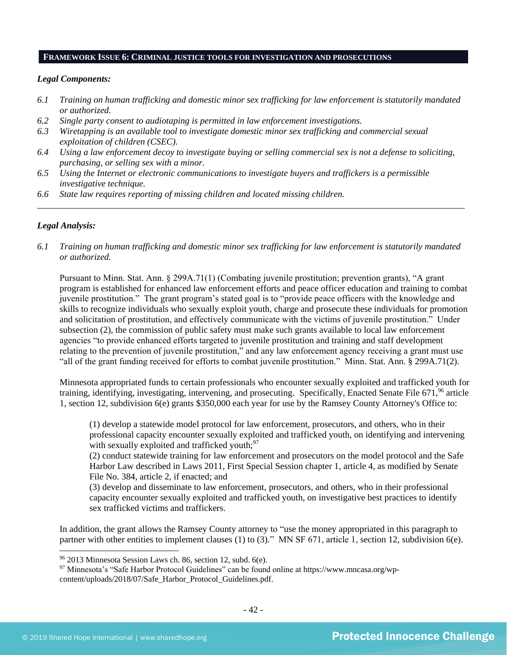## **FRAMEWORK ISSUE 6: CRIMINAL JUSTICE TOOLS FOR INVESTIGATION AND PROSECUTIONS**

#### *Legal Components:*

- *6.1 Training on human trafficking and domestic minor sex trafficking for law enforcement is statutorily mandated or authorized.*
- *6.2 Single party consent to audiotaping is permitted in law enforcement investigations.*
- *6.3 Wiretapping is an available tool to investigate domestic minor sex trafficking and commercial sexual exploitation of children (CSEC).*
- *6.4 Using a law enforcement decoy to investigate buying or selling commercial sex is not a defense to soliciting, purchasing, or selling sex with a minor.*
- *6.5 Using the Internet or electronic communications to investigate buyers and traffickers is a permissible investigative technique.*
- *6.6 State law requires reporting of missing children and located missing children.*

#### *Legal Analysis:*

*6.1 Training on human trafficking and domestic minor sex trafficking for law enforcement is statutorily mandated or authorized.*

*\_\_\_\_\_\_\_\_\_\_\_\_\_\_\_\_\_\_\_\_\_\_\_\_\_\_\_\_\_\_\_\_\_\_\_\_\_\_\_\_\_\_\_\_\_\_\_\_\_\_\_\_\_\_\_\_\_\_\_\_\_\_\_\_\_\_\_\_\_\_\_\_\_\_\_\_\_\_\_\_\_\_\_\_\_\_\_\_\_\_\_\_\_\_*

Pursuant to Minn. Stat. Ann. § 299A.71(1) (Combating juvenile prostitution; prevention grants), "A grant program is established for enhanced law enforcement efforts and peace officer education and training to combat juvenile prostitution." The grant program's stated goal is to "provide peace officers with the knowledge and skills to recognize individuals who sexually exploit youth, charge and prosecute these individuals for promotion and solicitation of prostitution, and effectively communicate with the victims of juvenile prostitution." Under subsection (2), the commission of public safety must make such grants available to local law enforcement agencies "to provide enhanced efforts targeted to juvenile prostitution and training and staff development relating to the prevention of juvenile prostitution," and any law enforcement agency receiving a grant must use "all of the grant funding received for efforts to combat juvenile prostitution." Minn. Stat. Ann. § 299A.71(2).

Minnesota appropriated funds to certain professionals who encounter sexually exploited and trafficked youth for training, identifying, investigating, intervening, and prosecuting. Specifically, Enacted Senate File  $671<sup>96</sup>$  article 1, section 12, subdivision 6(e) grants \$350,000 each year for use by the Ramsey County Attorney's Office to:

(1) develop a statewide model protocol for law enforcement, prosecutors, and others, who in their professional capacity encounter sexually exploited and trafficked youth, on identifying and intervening with sexually exploited and trafficked youth; $97$ 

(2) conduct statewide training for law enforcement and prosecutors on the model protocol and the Safe Harbor Law described in Laws 2011, First Special Session chapter 1, article 4, as modified by Senate File No. 384, article 2, if enacted; and

(3) develop and disseminate to law enforcement, prosecutors, and others, who in their professional capacity encounter sexually exploited and trafficked youth, on investigative best practices to identify sex trafficked victims and traffickers.

In addition, the grant allows the Ramsey County attorney to "use the money appropriated in this paragraph to partner with other entities to implement clauses (1) to (3)." MN SF 671, article 1, section 12, subdivision 6(e).

 $96$  2013 Minnesota Session Laws ch. 86, section 12, subd. 6(e).

<sup>97</sup> Minnesota's "Safe Harbor Protocol Guidelines" can be found online at https://www.mncasa.org/wpcontent/uploads/2018/07/Safe\_Harbor\_Protocol\_Guidelines.pdf.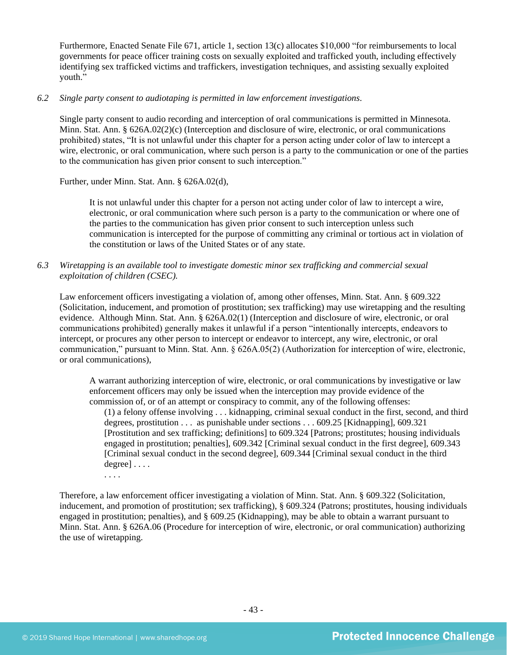Furthermore, Enacted Senate File 671, article 1, section 13(c) allocates \$10,000 "for reimbursements to local governments for peace officer training costs on sexually exploited and trafficked youth, including effectively identifying sex trafficked victims and traffickers, investigation techniques, and assisting sexually exploited youth."

# *6.2 Single party consent to audiotaping is permitted in law enforcement investigations.*

Single party consent to audio recording and interception of oral communications is permitted in Minnesota. Minn. Stat. Ann. § 626A.02(2)(c) (Interception and disclosure of wire, electronic, or oral communications prohibited) states, "It is not unlawful under this chapter for a person acting under color of law to intercept a wire, electronic, or oral communication, where such person is a party to the communication or one of the parties to the communication has given prior consent to such interception."

Further, under Minn. Stat. Ann. § 626A.02(d),

It is not unlawful under this chapter for a person not acting under color of law to intercept a wire, electronic, or oral communication where such person is a party to the communication or where one of the parties to the communication has given prior consent to such interception unless such communication is intercepted for the purpose of committing any criminal or tortious act in violation of the constitution or laws of the United States or of any state.

*6.3 Wiretapping is an available tool to investigate domestic minor sex trafficking and commercial sexual exploitation of children (CSEC).* 

Law enforcement officers investigating a violation of, among other offenses, Minn. Stat. Ann. § 609.322 (Solicitation, inducement, and promotion of prostitution; sex trafficking) may use wiretapping and the resulting evidence. Although Minn. Stat. Ann. § 626A.02(1) (Interception and disclosure of wire, electronic, or oral communications prohibited) generally makes it unlawful if a person "intentionally intercepts, endeavors to intercept, or procures any other person to intercept or endeavor to intercept, any wire, electronic, or oral communication," pursuant to Minn. Stat. Ann. § 626A.05(2) (Authorization for interception of wire, electronic, or oral communications),

A warrant authorizing interception of wire, electronic, or oral communications by investigative or law enforcement officers may only be issued when the interception may provide evidence of the commission of, or of an attempt or conspiracy to commit, any of the following offenses:

(1) a felony offense involving . . . kidnapping, criminal sexual conduct in the first, second, and third degrees, prostitution . . . as punishable under sections . . . 609.25 [Kidnapping], 609.321 [Prostitution and sex trafficking; definitions] to 609.324 [Patrons; prostitutes; housing individuals engaged in prostitution; penalties], 609.342 [Criminal sexual conduct in the first degree], 609.343 [Criminal sexual conduct in the second degree], 609.344 [Criminal sexual conduct in the third degree] . . . .

Therefore, a law enforcement officer investigating a violation of Minn. Stat. Ann. § 609.322 (Solicitation, inducement, and promotion of prostitution; sex trafficking), § 609.324 (Patrons; prostitutes, housing individuals engaged in prostitution; penalties), and § 609.25 (Kidnapping), may be able to obtain a warrant pursuant to Minn. Stat. Ann. § 626A.06 (Procedure for interception of wire, electronic, or oral communication) authorizing the use of wiretapping.

. . . .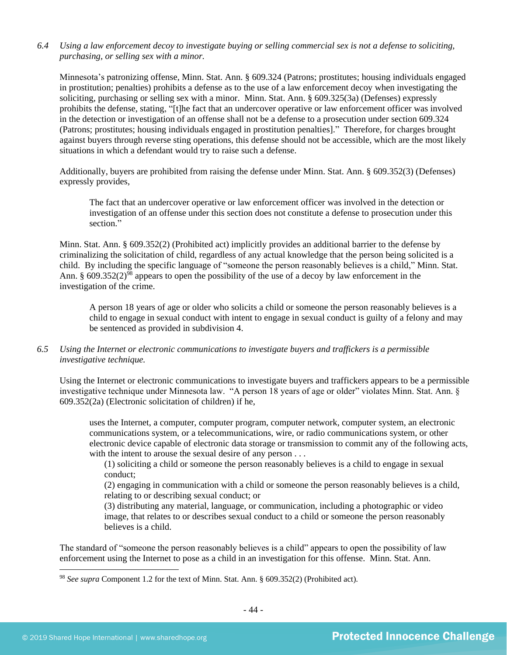*6.4 Using a law enforcement decoy to investigate buying or selling commercial sex is not a defense to soliciting, purchasing, or selling sex with a minor.*

Minnesota's patronizing offense, Minn. Stat. Ann. § 609.324 (Patrons; prostitutes; housing individuals engaged in prostitution; penalties) prohibits a defense as to the use of a law enforcement decoy when investigating the soliciting, purchasing or selling sex with a minor. Minn. Stat. Ann. § 609.325(3a) (Defenses) expressly prohibits the defense, stating, "[t]he fact that an undercover operative or law enforcement officer was involved in the detection or investigation of an offense shall not be a defense to a prosecution under section 609.324 (Patrons; prostitutes; housing individuals engaged in prostitution penalties]." Therefore, for charges brought against buyers through reverse sting operations, this defense should not be accessible, which are the most likely situations in which a defendant would try to raise such a defense.

Additionally, buyers are prohibited from raising the defense under Minn. Stat. Ann. § 609.352(3) (Defenses) expressly provides,

The fact that an undercover operative or law enforcement officer was involved in the detection or investigation of an offense under this section does not constitute a defense to prosecution under this section."

Minn. Stat. Ann. § 609.352(2) (Prohibited act) implicitly provides an additional barrier to the defense by criminalizing the solicitation of child, regardless of any actual knowledge that the person being solicited is a child. By including the specific language of "someone the person reasonably believes is a child," Minn. Stat. Ann. § 609.352(2)<sup>98</sup> appears to open the possibility of the use of a decoy by law enforcement in the investigation of the crime.

A person 18 years of age or older who solicits a child or someone the person reasonably believes is a child to engage in sexual conduct with intent to engage in sexual conduct is guilty of a felony and may be sentenced as provided in subdivision 4.

*6.5 Using the Internet or electronic communications to investigate buyers and traffickers is a permissible investigative technique.*

Using the Internet or electronic communications to investigate buyers and traffickers appears to be a permissible investigative technique under Minnesota law. "A person 18 years of age or older" violates Minn. Stat. Ann. § 609.352(2a) (Electronic solicitation of children) if he,

uses the Internet, a computer, computer program, computer network, computer system, an electronic communications system, or a telecommunications, wire, or radio communications system, or other electronic device capable of electronic data storage or transmission to commit any of the following acts, with the intent to arouse the sexual desire of any person . . .

(1) soliciting a child or someone the person reasonably believes is a child to engage in sexual conduct;

(2) engaging in communication with a child or someone the person reasonably believes is a child, relating to or describing sexual conduct; or

(3) distributing any material, language, or communication, including a photographic or video image, that relates to or describes sexual conduct to a child or someone the person reasonably believes is a child.

The standard of "someone the person reasonably believes is a child" appears to open the possibility of law enforcement using the Internet to pose as a child in an investigation for this offense. Minn. Stat. Ann.

<sup>98</sup> *See supra* Component 1.2 for the text of Minn. Stat. Ann. § 609.352(2) (Prohibited act).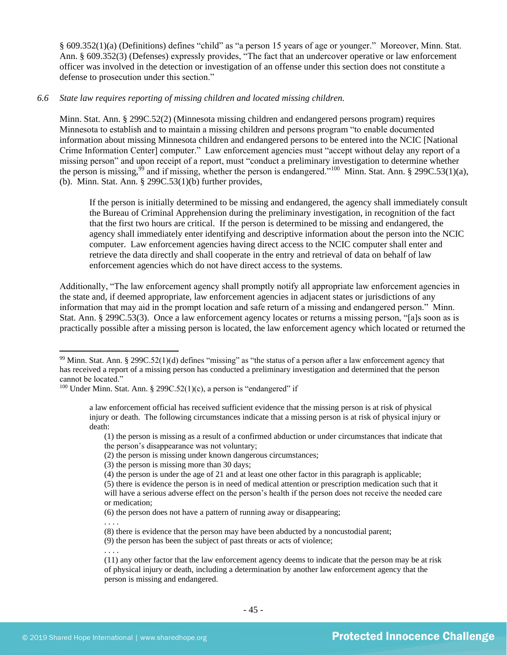§ 609.352(1)(a) (Definitions) defines "child" as "a person 15 years of age or younger." Moreover, Minn. Stat. Ann. § 609.352(3) (Defenses) expressly provides, "The fact that an undercover operative or law enforcement officer was involved in the detection or investigation of an offense under this section does not constitute a defense to prosecution under this section."

# *6.6 State law requires reporting of missing children and located missing children.*

Minn. Stat. Ann. § 299C.52(2) (Minnesota missing children and endangered persons program) requires Minnesota to establish and to maintain a missing children and persons program "to enable documented information about missing Minnesota children and endangered persons to be entered into the NCIC [National Crime Information Center] computer." Law enforcement agencies must "accept without delay any report of a missing person" and upon receipt of a report, must "conduct a preliminary investigation to determine whether the person is missing,<sup>99</sup> and if missing, whether the person is endangered."<sup>100</sup> Minn. Stat. Ann. § 299C.53(1)(a), (b). Minn. Stat. Ann. § 299C.53(1)(b) further provides,

If the person is initially determined to be missing and endangered, the agency shall immediately consult the Bureau of Criminal Apprehension during the preliminary investigation, in recognition of the fact that the first two hours are critical. If the person is determined to be missing and endangered, the agency shall immediately enter identifying and descriptive information about the person into the NCIC computer. Law enforcement agencies having direct access to the NCIC computer shall enter and retrieve the data directly and shall cooperate in the entry and retrieval of data on behalf of law enforcement agencies which do not have direct access to the systems.

Additionally, "The law enforcement agency shall promptly notify all appropriate law enforcement agencies in the state and, if deemed appropriate, law enforcement agencies in adjacent states or jurisdictions of any information that may aid in the prompt location and safe return of a missing and endangered person." Minn. Stat. Ann. § 299C.53(3). Once a law enforcement agency locates or returns a missing person, "[a]s soon as is practically possible after a missing person is located, the law enforcement agency which located or returned the

- (2) the person is missing under known dangerous circumstances;
- (3) the person is missing more than 30 days;
- (4) the person is under the age of 21 and at least one other factor in this paragraph is applicable;

- (6) the person does not have a pattern of running away or disappearing;
- . . . . (8) there is evidence that the person may have been abducted by a noncustodial parent;
- (9) the person has been the subject of past threats or acts of violence;
- . . . .

<sup>&</sup>lt;sup>99</sup> Minn. Stat. Ann. § 299C.52(1)(d) defines "missing" as "the status of a person after a law enforcement agency that has received a report of a missing person has conducted a preliminary investigation and determined that the person cannot be located."

<sup>&</sup>lt;sup>100</sup> Under Minn. Stat. Ann. § 299C.52(1)(c), a person is "endangered" if

a law enforcement official has received sufficient evidence that the missing person is at risk of physical injury or death. The following circumstances indicate that a missing person is at risk of physical injury or death:

<sup>(1)</sup> the person is missing as a result of a confirmed abduction or under circumstances that indicate that the person's disappearance was not voluntary;

<sup>(5)</sup> there is evidence the person is in need of medical attention or prescription medication such that it will have a serious adverse effect on the person's health if the person does not receive the needed care or medication;

<sup>(11)</sup> any other factor that the law enforcement agency deems to indicate that the person may be at risk of physical injury or death, including a determination by another law enforcement agency that the person is missing and endangered.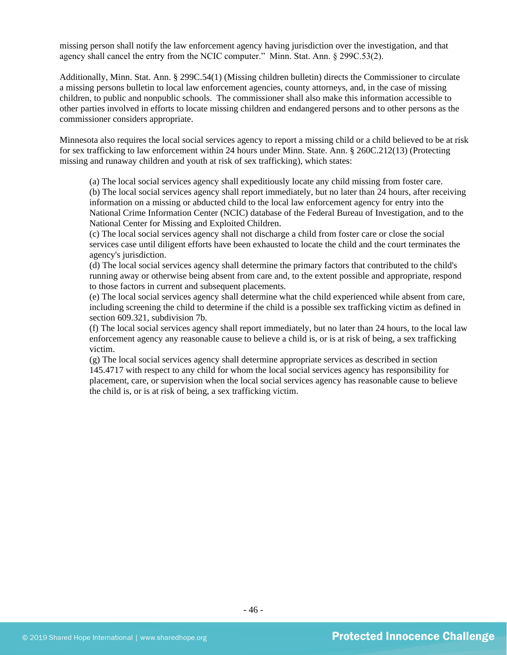missing person shall notify the law enforcement agency having jurisdiction over the investigation, and that agency shall cancel the entry from the NCIC computer." Minn. Stat. Ann. § 299C.53(2).

Additionally, Minn. Stat. Ann. § 299C.54(1) (Missing children bulletin) directs the Commissioner to circulate a missing persons bulletin to local law enforcement agencies, county attorneys, and, in the case of missing children, to public and nonpublic schools. The commissioner shall also make this information accessible to other parties involved in efforts to locate missing children and endangered persons and to other persons as the commissioner considers appropriate.

Minnesota also requires the local social services agency to report a missing child or a child believed to be at risk for sex trafficking to law enforcement within 24 hours under Minn. State. Ann. § 260C.212(13) (Protecting missing and runaway children and youth at risk of sex trafficking), which states:

(a) The local social services agency shall expeditiously locate any child missing from foster care.

(b) The local social services agency shall report immediately, but no later than 24 hours, after receiving information on a missing or abducted child to the local law enforcement agency for entry into the National Crime Information Center (NCIC) database of the Federal Bureau of Investigation, and to the National Center for Missing and Exploited Children.

(c) The local social services agency shall not discharge a child from foster care or close the social services case until diligent efforts have been exhausted to locate the child and the court terminates the agency's jurisdiction.

(d) The local social services agency shall determine the primary factors that contributed to the child's running away or otherwise being absent from care and, to the extent possible and appropriate, respond to those factors in current and subsequent placements.

(e) The local social services agency shall determine what the child experienced while absent from care, including screening the child to determine if the child is a possible sex trafficking victim as defined in section 609.321, subdivision 7b.

(f) The local social services agency shall report immediately, but no later than 24 hours, to the local law enforcement agency any reasonable cause to believe a child is, or is at risk of being, a sex trafficking victim.

(g) The local social services agency shall determine appropriate services as described in section 145.4717 with respect to any child for whom the local social services agency has responsibility for placement, care, or supervision when the local social services agency has reasonable cause to believe the child is, or is at risk of being, a sex trafficking victim.